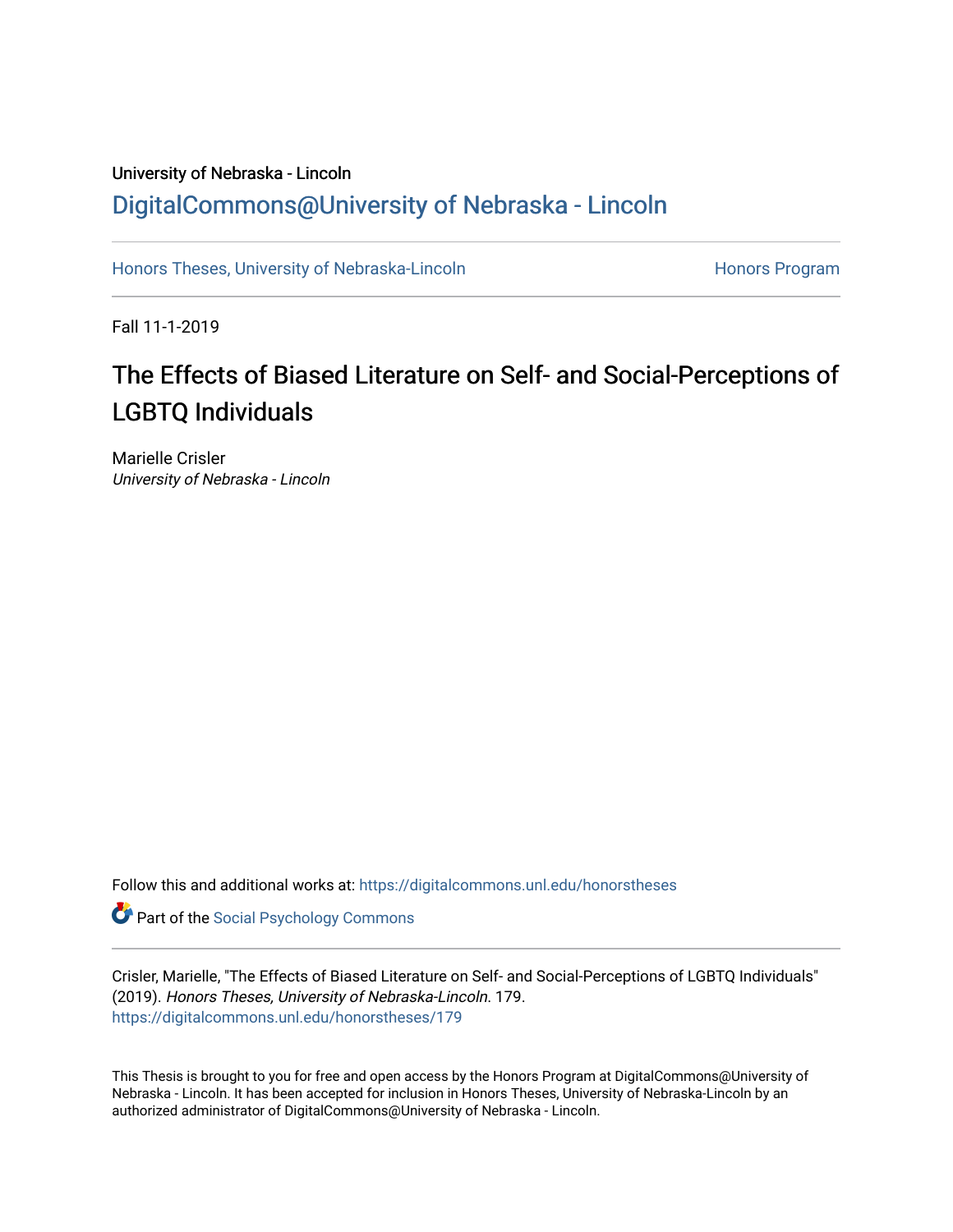# University of Nebraska - Lincoln [DigitalCommons@University of Nebraska - Lincoln](https://digitalcommons.unl.edu/)

[Honors Theses, University of Nebraska-Lincoln](https://digitalcommons.unl.edu/honorstheses) **Honors Program** Honors Program

Fall 11-1-2019

# The Effects of Biased Literature on Self- and Social-Perceptions of LGBTQ Individuals

Marielle Crisler University of Nebraska - Lincoln

Follow this and additional works at: [https://digitalcommons.unl.edu/honorstheses](https://digitalcommons.unl.edu/honorstheses?utm_source=digitalcommons.unl.edu%2Fhonorstheses%2F179&utm_medium=PDF&utm_campaign=PDFCoverPages)

**Part of the Social Psychology Commons** 

Crisler, Marielle, "The Effects of Biased Literature on Self- and Social-Perceptions of LGBTQ Individuals" (2019). Honors Theses, University of Nebraska-Lincoln. 179. [https://digitalcommons.unl.edu/honorstheses/179](https://digitalcommons.unl.edu/honorstheses/179?utm_source=digitalcommons.unl.edu%2Fhonorstheses%2F179&utm_medium=PDF&utm_campaign=PDFCoverPages)

This Thesis is brought to you for free and open access by the Honors Program at DigitalCommons@University of Nebraska - Lincoln. It has been accepted for inclusion in Honors Theses, University of Nebraska-Lincoln by an authorized administrator of DigitalCommons@University of Nebraska - Lincoln.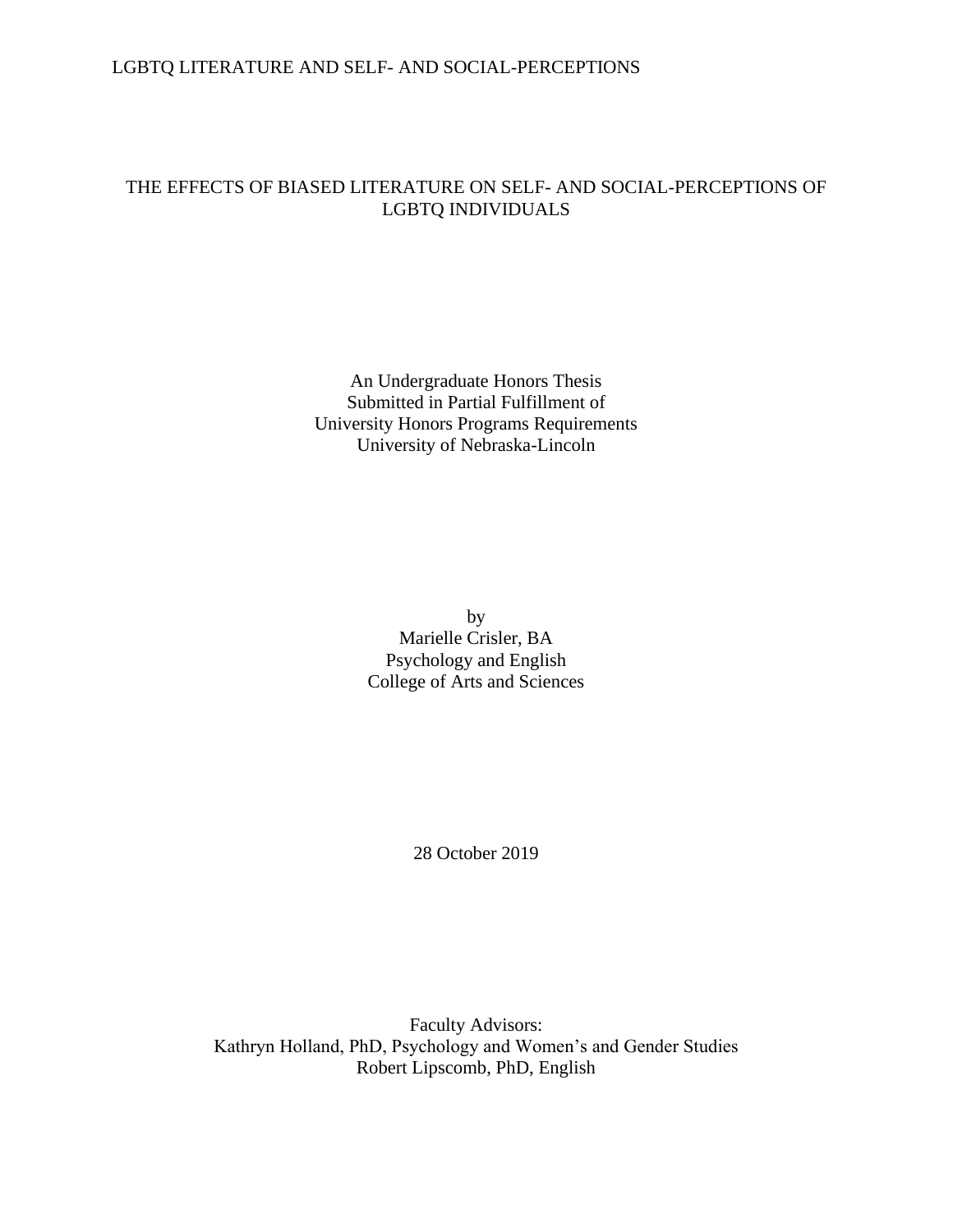### LGBTQ LITERATURE AND SELF- AND SOCIAL-PERCEPTIONS

## THE EFFECTS OF BIASED LITERATURE ON SELF- AND SOCIAL-PERCEPTIONS OF LGBTQ INDIVIDUALS

An Undergraduate Honors Thesis Submitted in Partial Fulfillment of University Honors Programs Requirements University of Nebraska-Lincoln

> by Marielle Crisler, BA Psychology and English College of Arts and Sciences

> > 28 October 2019

Faculty Advisors: Kathryn Holland, PhD, Psychology and Women's and Gender Studies Robert Lipscomb, PhD, English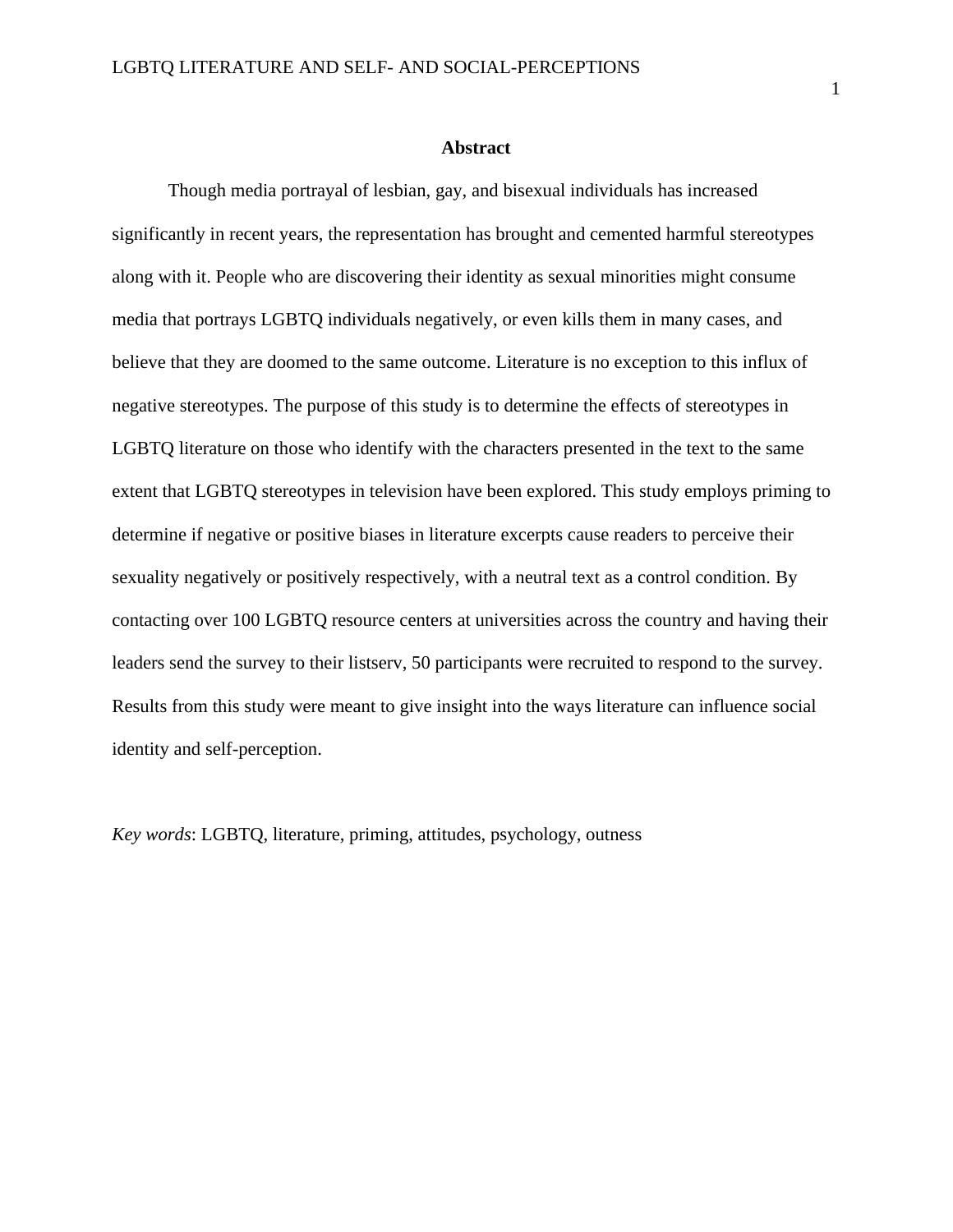#### **Abstract**

Though media portrayal of lesbian, gay, and bisexual individuals has increased significantly in recent years, the representation has brought and cemented harmful stereotypes along with it. People who are discovering their identity as sexual minorities might consume media that portrays LGBTQ individuals negatively, or even kills them in many cases, and believe that they are doomed to the same outcome. Literature is no exception to this influx of negative stereotypes. The purpose of this study is to determine the effects of stereotypes in LGBTQ literature on those who identify with the characters presented in the text to the same extent that LGBTQ stereotypes in television have been explored. This study employs priming to determine if negative or positive biases in literature excerpts cause readers to perceive their sexuality negatively or positively respectively, with a neutral text as a control condition. By contacting over 100 LGBTQ resource centers at universities across the country and having their leaders send the survey to their listserv, 50 participants were recruited to respond to the survey. Results from this study were meant to give insight into the ways literature can influence social identity and self-perception.

*Key words*: LGBTQ, literature, priming, attitudes, psychology, outness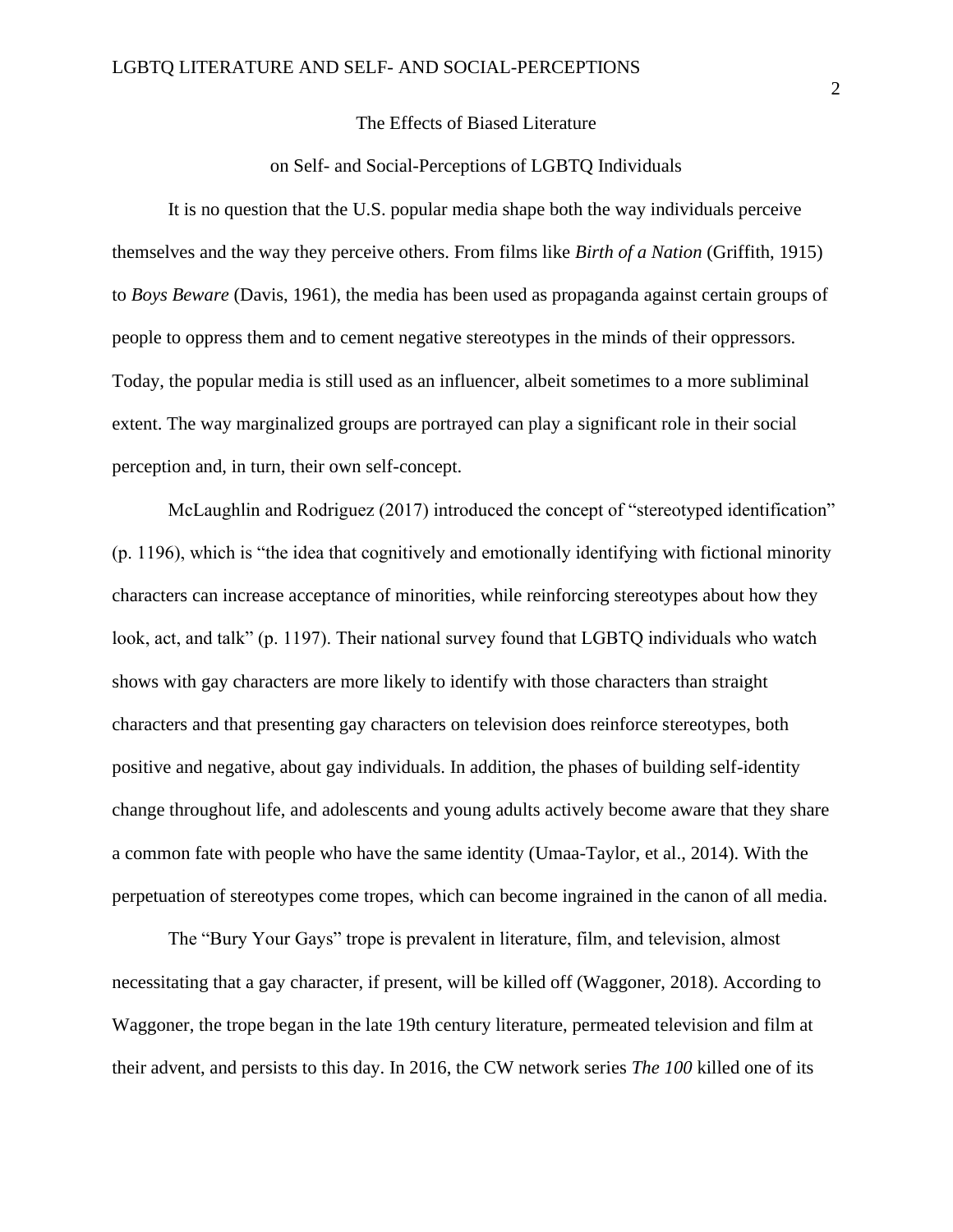#### The Effects of Biased Literature

#### on Self- and Social-Perceptions of LGBTQ Individuals

It is no question that the U.S. popular media shape both the way individuals perceive themselves and the way they perceive others. From films like *Birth of a Nation* (Griffith, 1915) to *Boys Beware* (Davis, 1961), the media has been used as propaganda against certain groups of people to oppress them and to cement negative stereotypes in the minds of their oppressors. Today, the popular media is still used as an influencer, albeit sometimes to a more subliminal extent. The way marginalized groups are portrayed can play a significant role in their social perception and, in turn, their own self-concept.

McLaughlin and Rodriguez (2017) introduced the concept of "stereotyped identification" (p. 1196), which is "the idea that cognitively and emotionally identifying with fictional minority characters can increase acceptance of minorities, while reinforcing stereotypes about how they look, act, and talk" (p. 1197). Their national survey found that LGBTQ individuals who watch shows with gay characters are more likely to identify with those characters than straight characters and that presenting gay characters on television does reinforce stereotypes, both positive and negative, about gay individuals. In addition, the phases of building self-identity change throughout life, and adolescents and young adults actively become aware that they share a common fate with people who have the same identity (Umaa-Taylor, et al., 2014). With the perpetuation of stereotypes come tropes, which can become ingrained in the canon of all media.

The "Bury Your Gays" trope is prevalent in literature, film, and television, almost necessitating that a gay character, if present, will be killed off (Waggoner, 2018). According to Waggoner, the trope began in the late 19th century literature, permeated television and film at their advent, and persists to this day. In 2016, the CW network series *The 100* killed one of its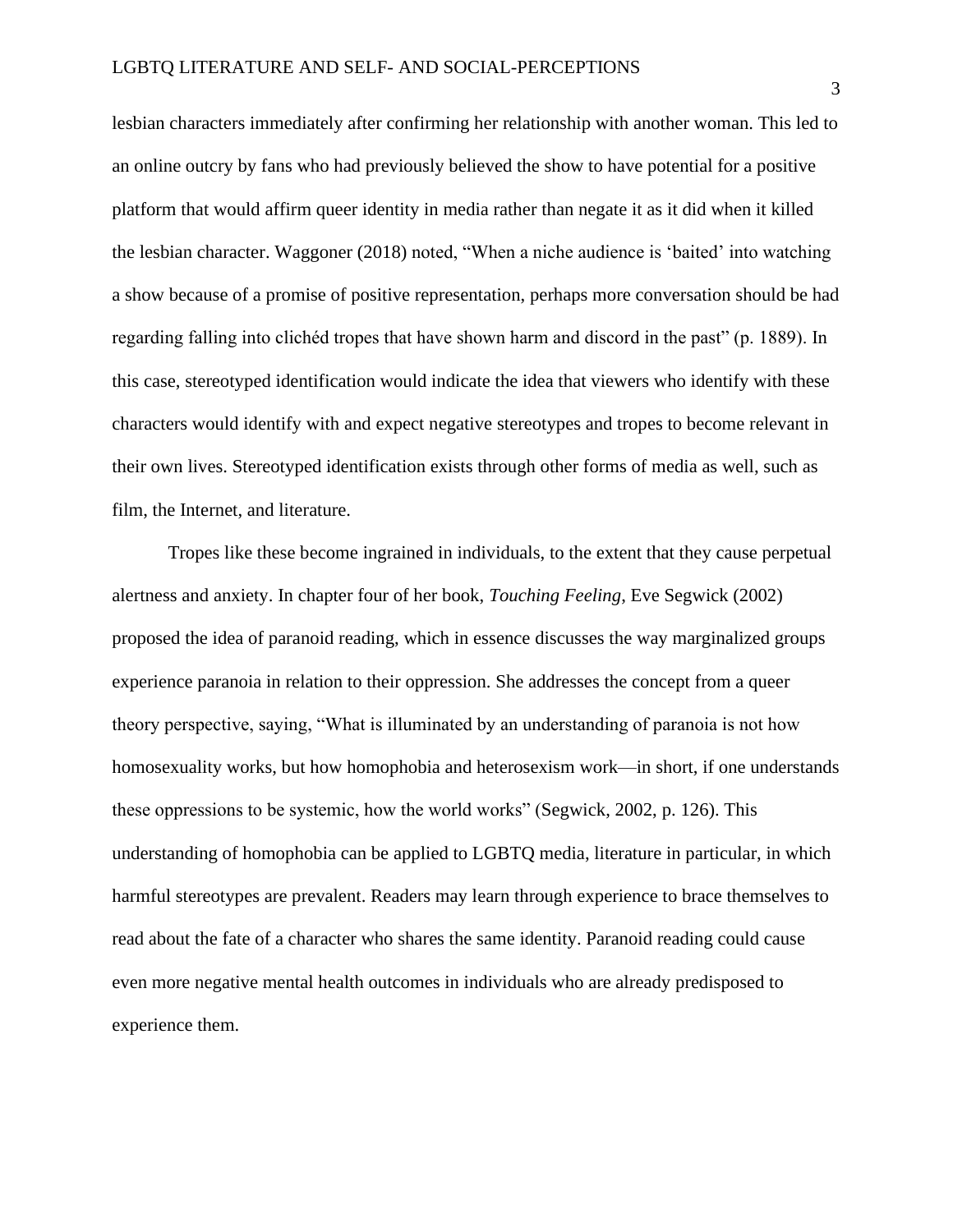lesbian characters immediately after confirming her relationship with another woman. This led to an online outcry by fans who had previously believed the show to have potential for a positive platform that would affirm queer identity in media rather than negate it as it did when it killed the lesbian character. Waggoner (2018) noted, "When a niche audience is 'baited' into watching a show because of a promise of positive representation, perhaps more conversation should be had regarding falling into clichéd tropes that have shown harm and discord in the past" (p. 1889). In this case, stereotyped identification would indicate the idea that viewers who identify with these characters would identify with and expect negative stereotypes and tropes to become relevant in their own lives. Stereotyped identification exists through other forms of media as well, such as film, the Internet, and literature.

Tropes like these become ingrained in individuals, to the extent that they cause perpetual alertness and anxiety. In chapter four of her book, *Touching Feeling*, Eve Segwick (2002) proposed the idea of paranoid reading, which in essence discusses the way marginalized groups experience paranoia in relation to their oppression. She addresses the concept from a queer theory perspective, saying, "What is illuminated by an understanding of paranoia is not how homosexuality works, but how homophobia and heterosexism work—in short, if one understands these oppressions to be systemic, how the world works" (Segwick, 2002, p. 126). This understanding of homophobia can be applied to LGBTQ media, literature in particular, in which harmful stereotypes are prevalent. Readers may learn through experience to brace themselves to read about the fate of a character who shares the same identity. Paranoid reading could cause even more negative mental health outcomes in individuals who are already predisposed to experience them.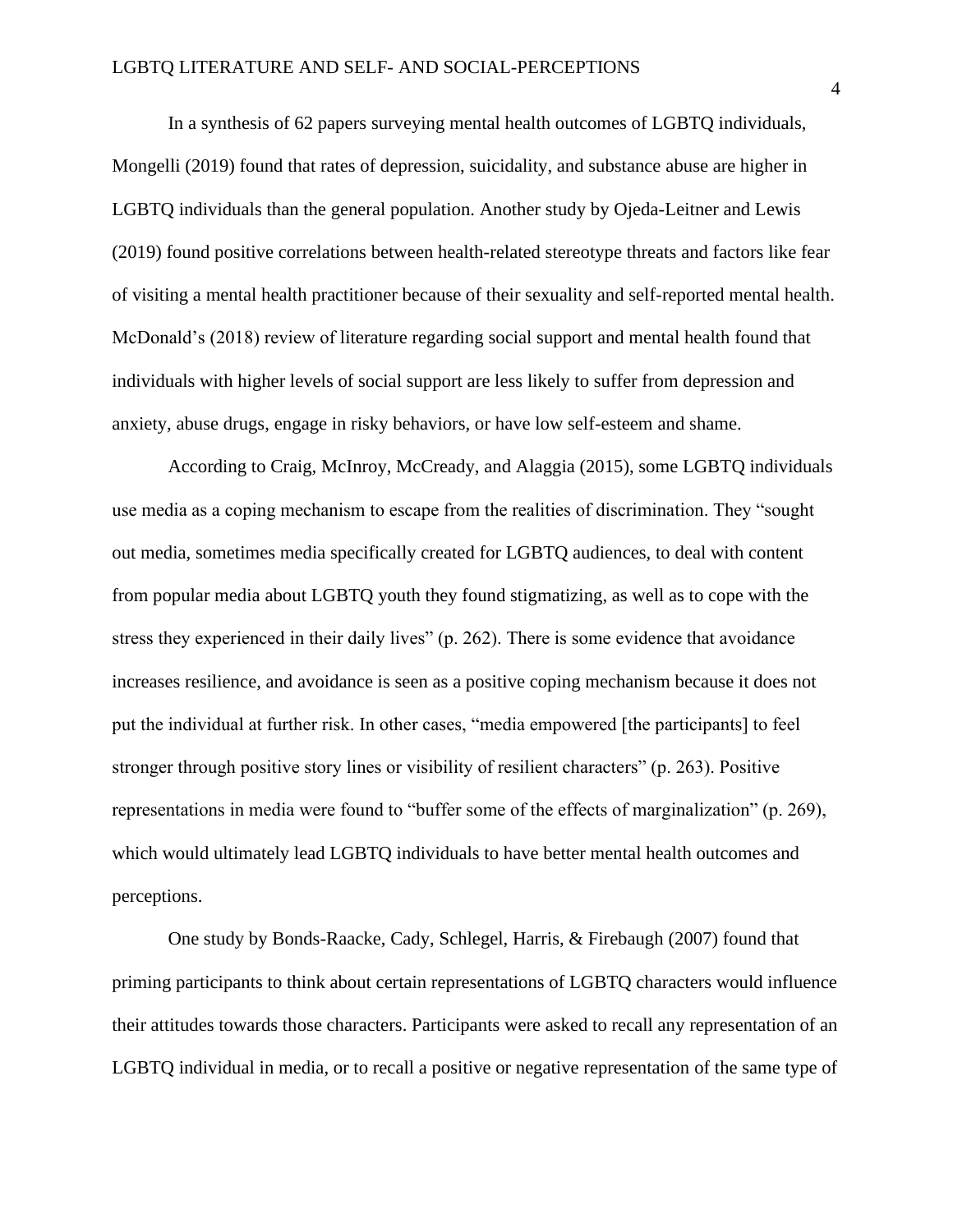In a synthesis of 62 papers surveying mental health outcomes of LGBTQ individuals, Mongelli (2019) found that rates of depression, suicidality, and substance abuse are higher in LGBTQ individuals than the general population. Another study by Ojeda-Leitner and Lewis (2019) found positive correlations between health-related stereotype threats and factors like fear of visiting a mental health practitioner because of their sexuality and self-reported mental health. McDonald's (2018) review of literature regarding social support and mental health found that individuals with higher levels of social support are less likely to suffer from depression and anxiety, abuse drugs, engage in risky behaviors, or have low self-esteem and shame.

According to Craig, McInroy, McCready, and Alaggia (2015), some LGBTQ individuals use media as a coping mechanism to escape from the realities of discrimination. They "sought out media, sometimes media specifically created for LGBTQ audiences, to deal with content from popular media about LGBTQ youth they found stigmatizing, as well as to cope with the stress they experienced in their daily lives" (p. 262). There is some evidence that avoidance increases resilience, and avoidance is seen as a positive coping mechanism because it does not put the individual at further risk. In other cases, "media empowered [the participants] to feel stronger through positive story lines or visibility of resilient characters" (p. 263). Positive representations in media were found to "buffer some of the effects of marginalization" (p. 269), which would ultimately lead LGBTQ individuals to have better mental health outcomes and perceptions.

One study by Bonds-Raacke, Cady, Schlegel, Harris, & Firebaugh (2007) found that priming participants to think about certain representations of LGBTQ characters would influence their attitudes towards those characters. Participants were asked to recall any representation of an LGBTQ individual in media, or to recall a positive or negative representation of the same type of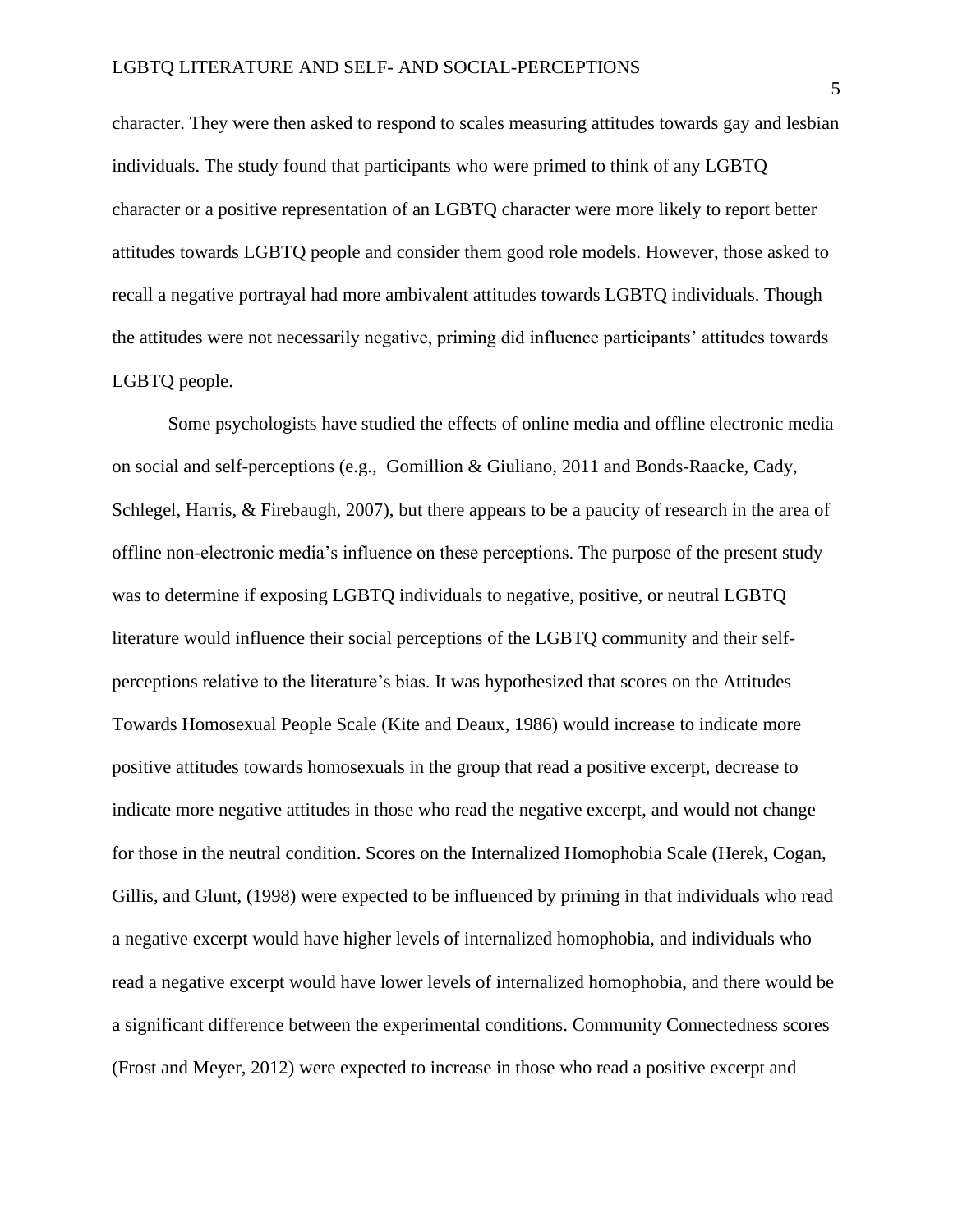character. They were then asked to respond to scales measuring attitudes towards gay and lesbian individuals. The study found that participants who were primed to think of any LGBTQ character or a positive representation of an LGBTQ character were more likely to report better attitudes towards LGBTQ people and consider them good role models. However, those asked to recall a negative portrayal had more ambivalent attitudes towards LGBTQ individuals. Though the attitudes were not necessarily negative, priming did influence participants' attitudes towards LGBTQ people.

Some psychologists have studied the effects of online media and offline electronic media on social and self-perceptions (e.g., Gomillion & Giuliano, 2011 and Bonds-Raacke, Cady, Schlegel, Harris, & Firebaugh, 2007), but there appears to be a paucity of research in the area of offline non-electronic media's influence on these perceptions. The purpose of the present study was to determine if exposing LGBTQ individuals to negative, positive, or neutral LGBTQ literature would influence their social perceptions of the LGBTQ community and their selfperceptions relative to the literature's bias. It was hypothesized that scores on the Attitudes Towards Homosexual People Scale (Kite and Deaux, 1986) would increase to indicate more positive attitudes towards homosexuals in the group that read a positive excerpt, decrease to indicate more negative attitudes in those who read the negative excerpt, and would not change for those in the neutral condition. Scores on the Internalized Homophobia Scale (Herek, Cogan, Gillis, and Glunt, (1998) were expected to be influenced by priming in that individuals who read a negative excerpt would have higher levels of internalized homophobia, and individuals who read a negative excerpt would have lower levels of internalized homophobia, and there would be a significant difference between the experimental conditions. Community Connectedness scores (Frost and Meyer, 2012) were expected to increase in those who read a positive excerpt and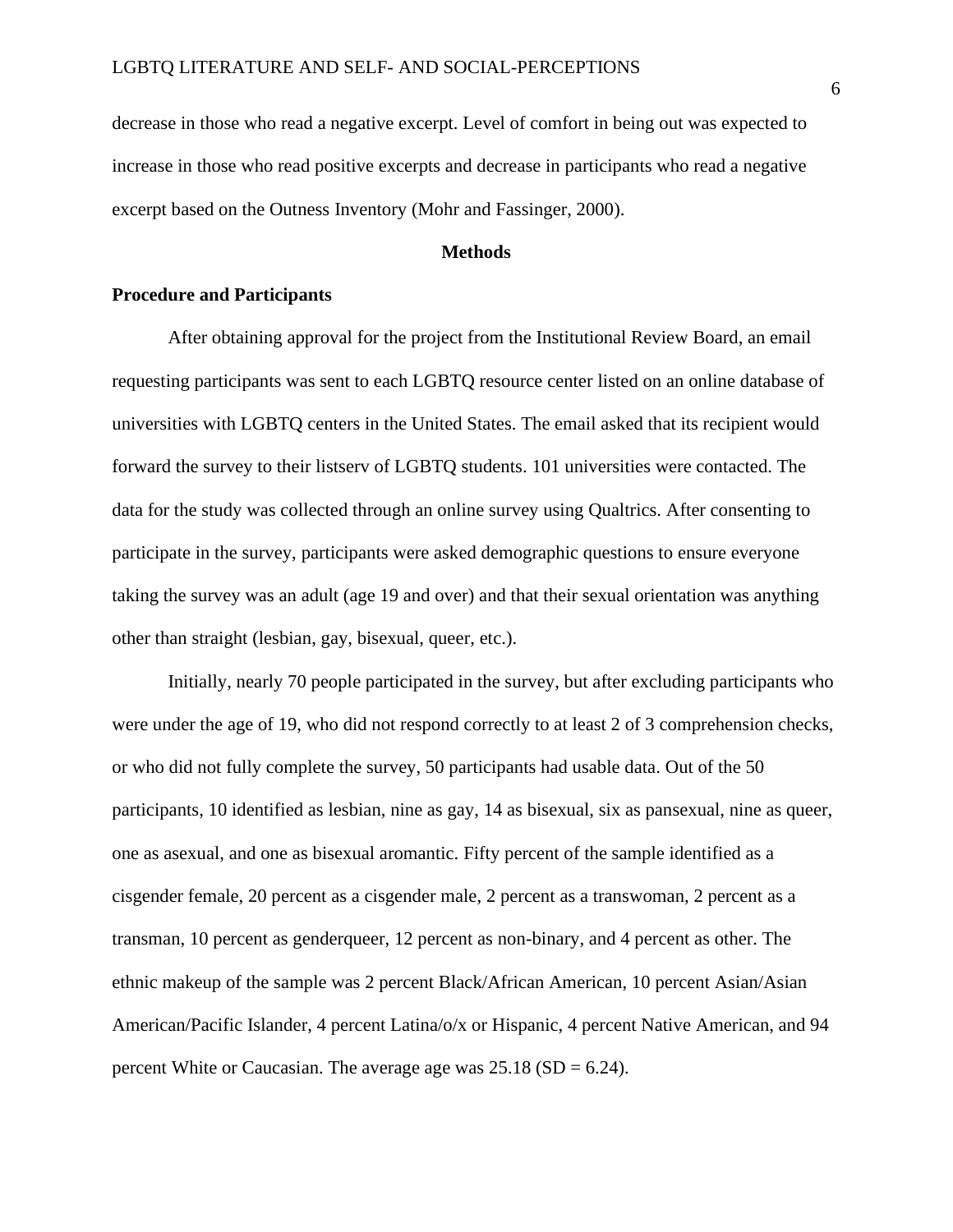decrease in those who read a negative excerpt. Level of comfort in being out was expected to increase in those who read positive excerpts and decrease in participants who read a negative excerpt based on the Outness Inventory (Mohr and Fassinger, 2000).

#### **Methods**

#### **Procedure and Participants**

After obtaining approval for the project from the Institutional Review Board, an email requesting participants was sent to each LGBTQ resource center listed on an online database of universities with LGBTQ centers in the United States. The email asked that its recipient would forward the survey to their listserv of LGBTQ students. 101 universities were contacted. The data for the study was collected through an online survey using Qualtrics. After consenting to participate in the survey, participants were asked demographic questions to ensure everyone taking the survey was an adult (age 19 and over) and that their sexual orientation was anything other than straight (lesbian, gay, bisexual, queer, etc.).

Initially, nearly 70 people participated in the survey, but after excluding participants who were under the age of 19, who did not respond correctly to at least 2 of 3 comprehension checks, or who did not fully complete the survey, 50 participants had usable data. Out of the 50 participants, 10 identified as lesbian, nine as gay, 14 as bisexual, six as pansexual, nine as queer, one as asexual, and one as bisexual aromantic. Fifty percent of the sample identified as a cisgender female, 20 percent as a cisgender male, 2 percent as a transwoman, 2 percent as a transman, 10 percent as genderqueer, 12 percent as non-binary, and 4 percent as other. The ethnic makeup of the sample was 2 percent Black/African American, 10 percent Asian/Asian American/Pacific Islander, 4 percent Latina/o/x or Hispanic, 4 percent Native American, and 94 percent White or Caucasian. The average age was  $25.18$  (SD = 6.24).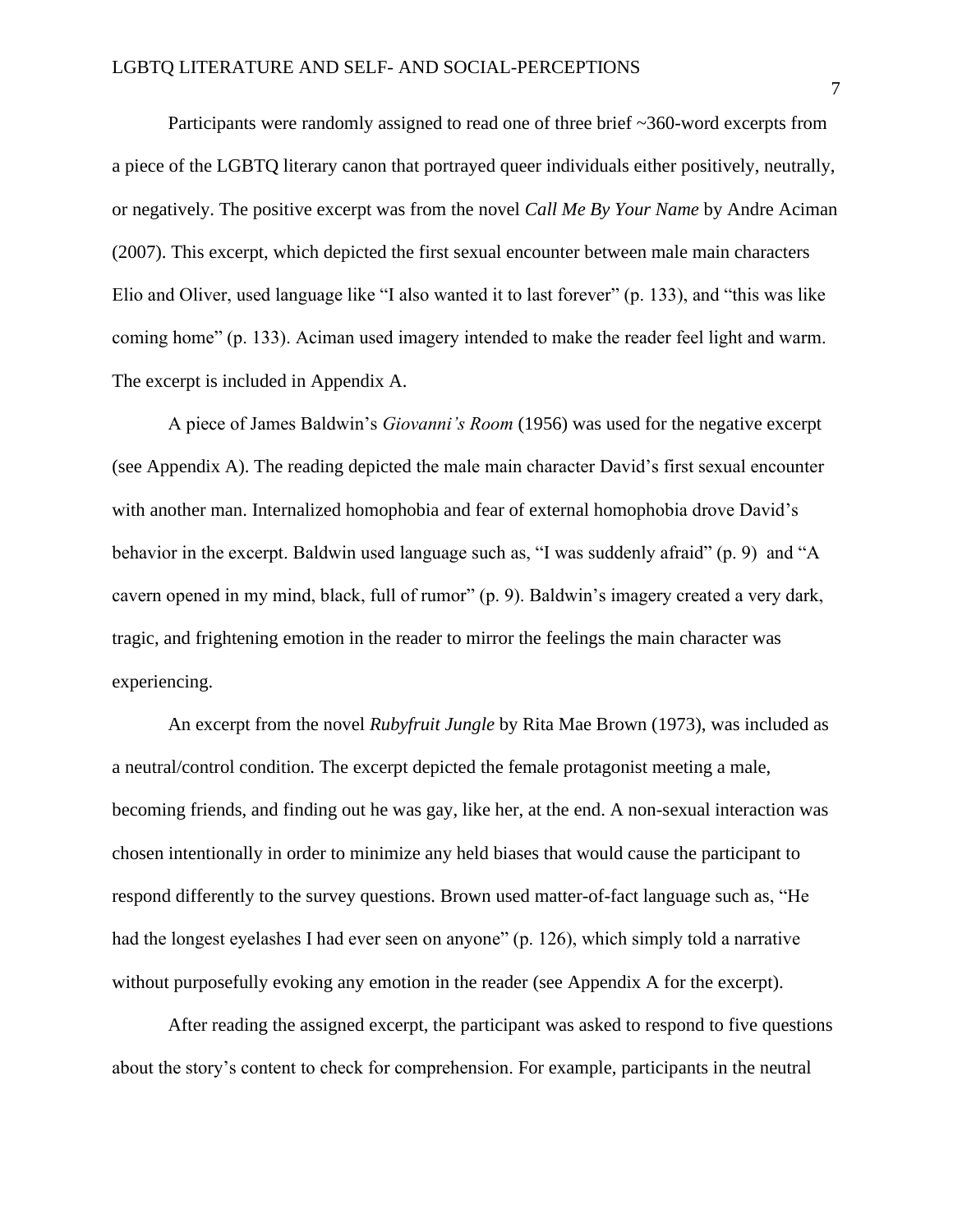Participants were randomly assigned to read one of three brief ~360-word excerpts from a piece of the LGBTQ literary canon that portrayed queer individuals either positively, neutrally, or negatively. The positive excerpt was from the novel *Call Me By Your Name* by Andre Aciman (2007). This excerpt, which depicted the first sexual encounter between male main characters Elio and Oliver, used language like "I also wanted it to last forever" (p. 133), and "this was like coming home" (p. 133). Aciman used imagery intended to make the reader feel light and warm. The excerpt is included in Appendix A.

A piece of James Baldwin's *Giovanni's Room* (1956) was used for the negative excerpt (see Appendix A). The reading depicted the male main character David's first sexual encounter with another man. Internalized homophobia and fear of external homophobia drove David's behavior in the excerpt. Baldwin used language such as, "I was suddenly afraid" (p. 9) and "A cavern opened in my mind, black, full of rumor" (p. 9). Baldwin's imagery created a very dark, tragic, and frightening emotion in the reader to mirror the feelings the main character was experiencing.

An excerpt from the novel *Rubyfruit Jungle* by Rita Mae Brown (1973), was included as a neutral/control condition. The excerpt depicted the female protagonist meeting a male, becoming friends, and finding out he was gay, like her, at the end. A non-sexual interaction was chosen intentionally in order to minimize any held biases that would cause the participant to respond differently to the survey questions. Brown used matter-of-fact language such as, "He had the longest eyelashes I had ever seen on anyone" (p. 126), which simply told a narrative without purposefully evoking any emotion in the reader (see Appendix A for the excerpt).

After reading the assigned excerpt, the participant was asked to respond to five questions about the story's content to check for comprehension. For example, participants in the neutral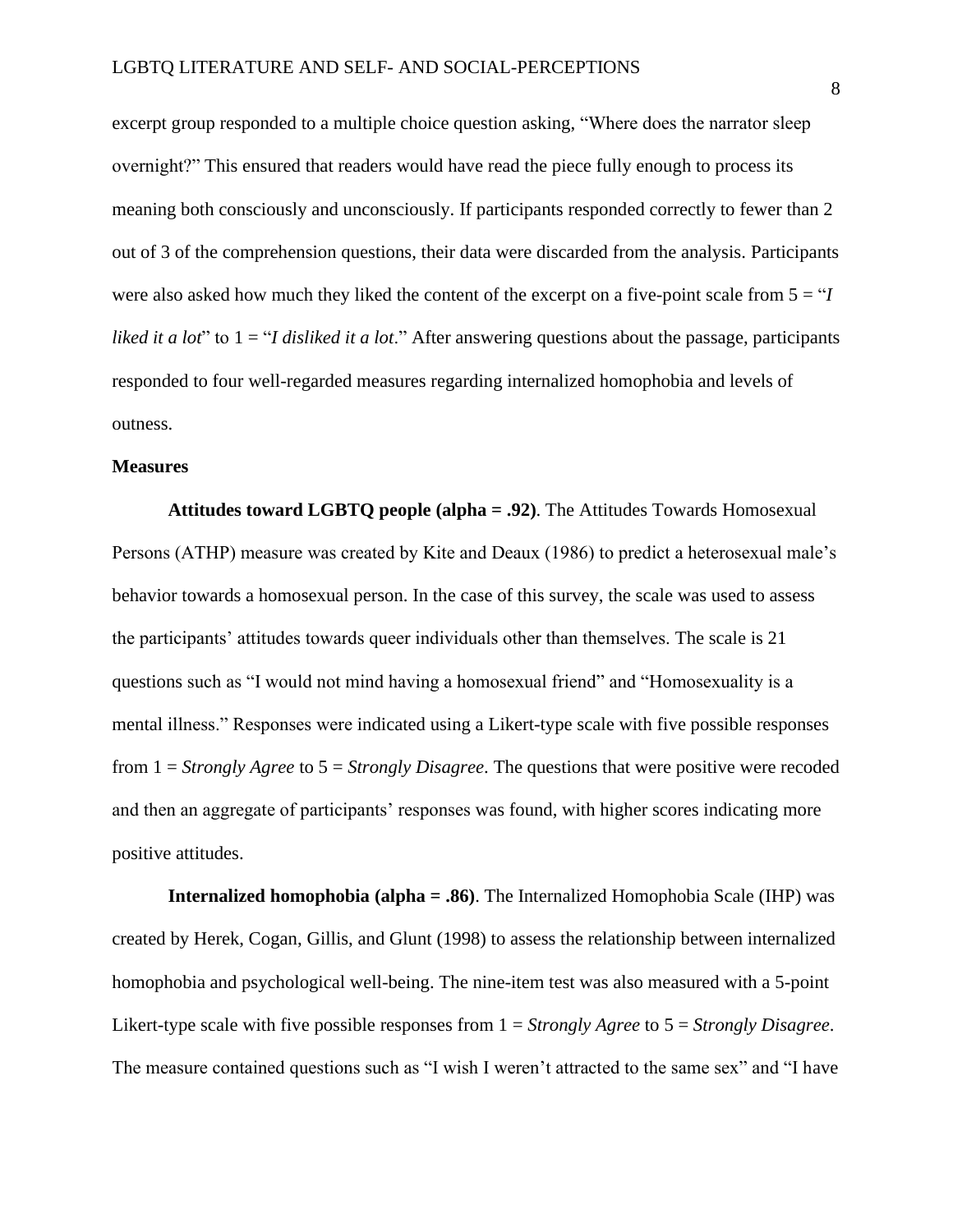excerpt group responded to a multiple choice question asking, "Where does the narrator sleep overnight?" This ensured that readers would have read the piece fully enough to process its meaning both consciously and unconsciously. If participants responded correctly to fewer than 2 out of 3 of the comprehension questions, their data were discarded from the analysis. Participants were also asked how much they liked the content of the excerpt on a five-point scale from  $5 = "I]$ *liked it a lot*" to 1 = "*I disliked it a lot*." After answering questions about the passage, participants responded to four well-regarded measures regarding internalized homophobia and levels of outness.

#### **Measures**

**Attitudes toward LGBTQ people (alpha = .92)**. The Attitudes Towards Homosexual Persons (ATHP) measure was created by Kite and Deaux (1986) to predict a heterosexual male's behavior towards a homosexual person. In the case of this survey, the scale was used to assess the participants' attitudes towards queer individuals other than themselves. The scale is 21 questions such as "I would not mind having a homosexual friend" and "Homosexuality is a mental illness." Responses were indicated using a Likert-type scale with five possible responses from 1 = *Strongly Agree* to 5 = *Strongly Disagree*. The questions that were positive were recoded and then an aggregate of participants' responses was found, with higher scores indicating more positive attitudes.

**Internalized homophobia (alpha = .86)**. The Internalized Homophobia Scale (IHP) was created by Herek, Cogan, Gillis, and Glunt (1998) to assess the relationship between internalized homophobia and psychological well-being. The nine-item test was also measured with a 5-point Likert-type scale with five possible responses from 1 = *Strongly Agree* to 5 = *Strongly Disagree*. The measure contained questions such as "I wish I weren't attracted to the same sex" and "I have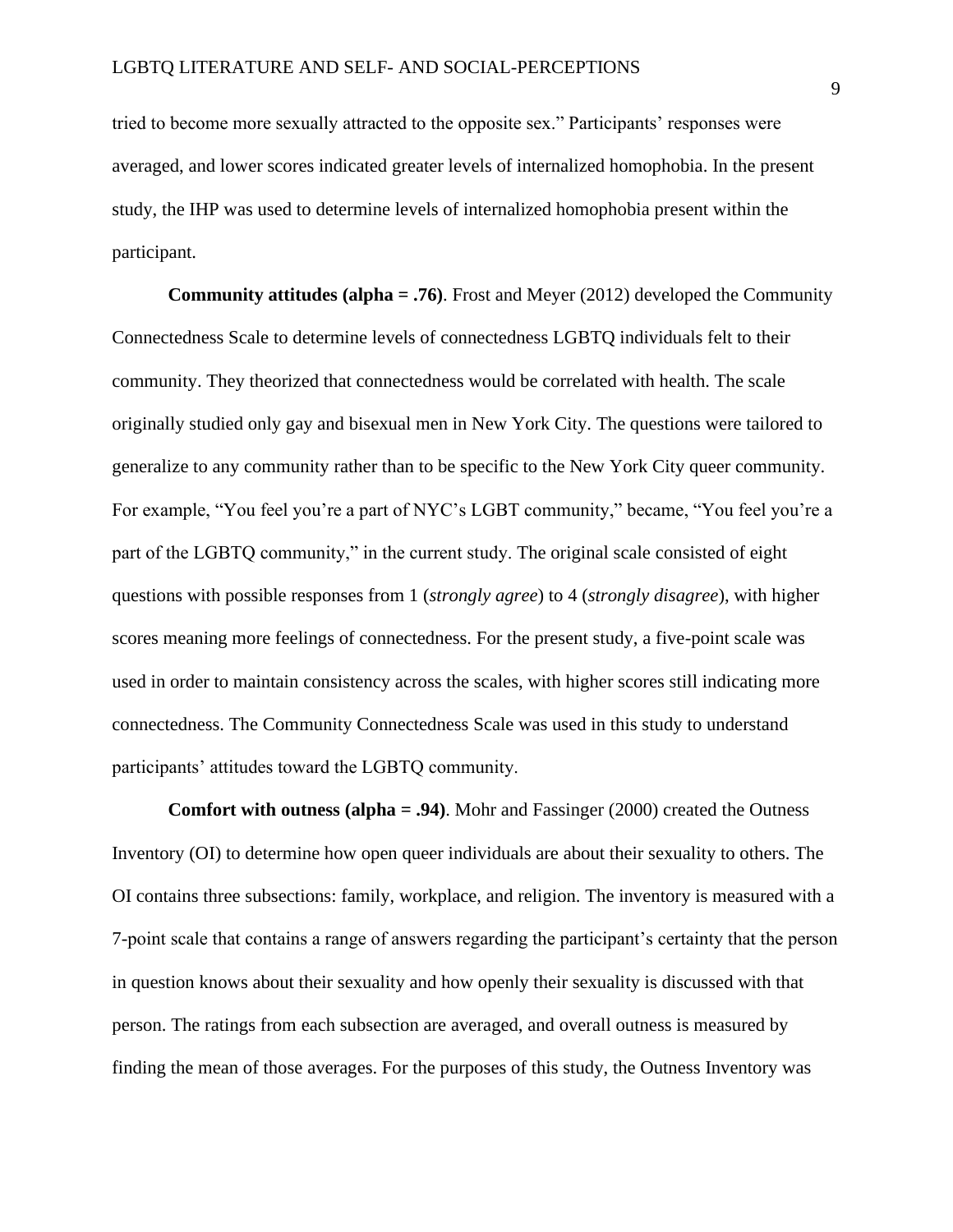tried to become more sexually attracted to the opposite sex." Participants' responses were averaged, and lower scores indicated greater levels of internalized homophobia. In the present study, the IHP was used to determine levels of internalized homophobia present within the participant.

**Community attitudes (alpha = .76)**. Frost and Meyer (2012) developed the Community Connectedness Scale to determine levels of connectedness LGBTQ individuals felt to their community. They theorized that connectedness would be correlated with health. The scale originally studied only gay and bisexual men in New York City. The questions were tailored to generalize to any community rather than to be specific to the New York City queer community. For example, "You feel you're a part of NYC's LGBT community," became, "You feel you're a part of the LGBTQ community," in the current study. The original scale consisted of eight questions with possible responses from 1 (*strongly agree*) to 4 (*strongly disagree*), with higher scores meaning more feelings of connectedness. For the present study, a five-point scale was used in order to maintain consistency across the scales, with higher scores still indicating more connectedness. The Community Connectedness Scale was used in this study to understand participants' attitudes toward the LGBTQ community.

**Comfort with outness (alpha = .94)**. Mohr and Fassinger (2000) created the Outness Inventory (OI) to determine how open queer individuals are about their sexuality to others. The OI contains three subsections: family, workplace, and religion. The inventory is measured with a 7-point scale that contains a range of answers regarding the participant's certainty that the person in question knows about their sexuality and how openly their sexuality is discussed with that person. The ratings from each subsection are averaged, and overall outness is measured by finding the mean of those averages. For the purposes of this study, the Outness Inventory was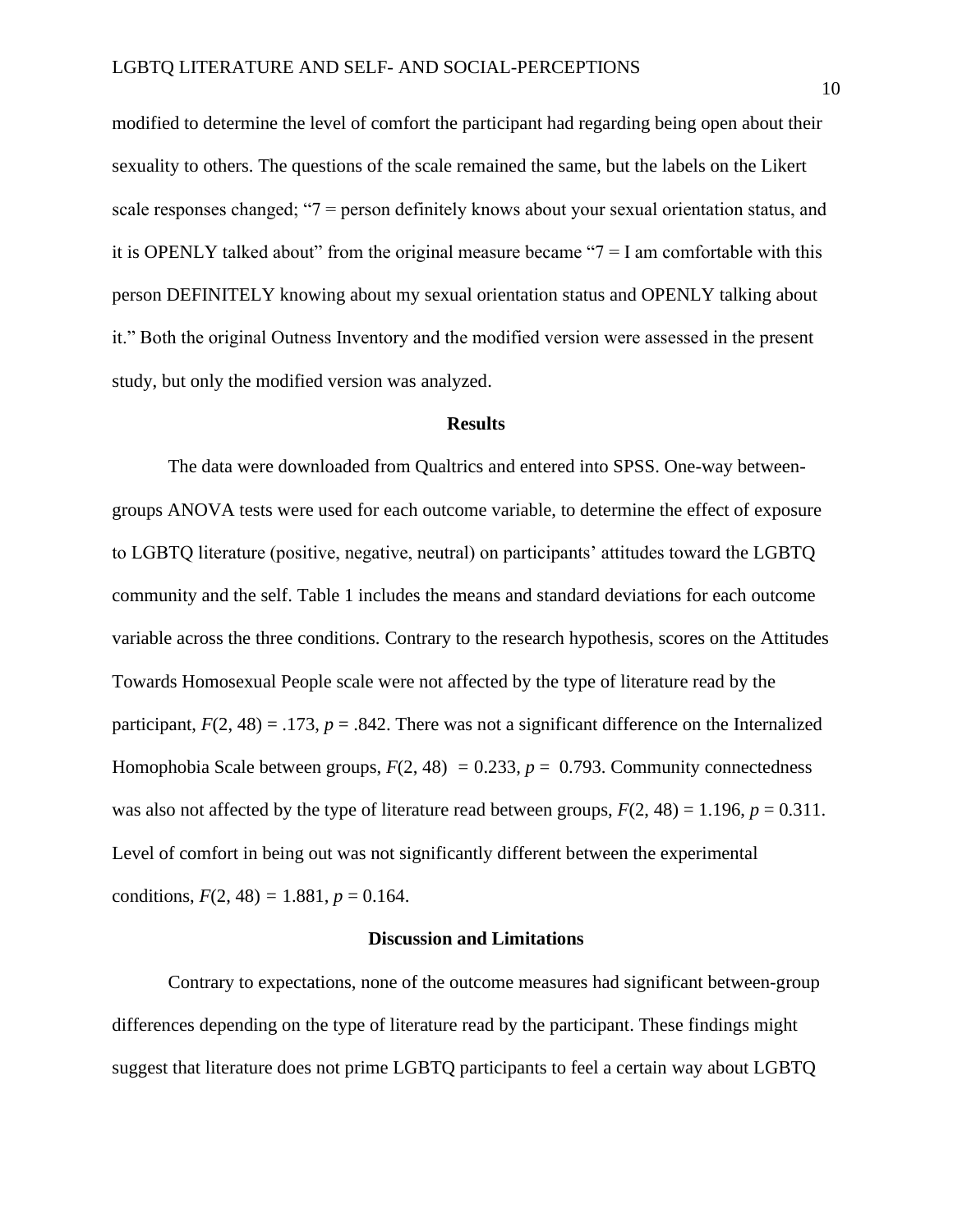modified to determine the level of comfort the participant had regarding being open about their sexuality to others. The questions of the scale remained the same, but the labels on the Likert scale responses changed; "7 = person definitely knows about your sexual orientation status, and it is OPENLY talked about" from the original measure became " $7 = I$  am comfortable with this person DEFINITELY knowing about my sexual orientation status and OPENLY talking about it." Both the original Outness Inventory and the modified version were assessed in the present study, but only the modified version was analyzed.

#### **Results**

The data were downloaded from Qualtrics and entered into SPSS. One-way betweengroups ANOVA tests were used for each outcome variable, to determine the effect of exposure to LGBTQ literature (positive, negative, neutral) on participants' attitudes toward the LGBTQ community and the self. Table 1 includes the means and standard deviations for each outcome variable across the three conditions. Contrary to the research hypothesis, scores on the Attitudes Towards Homosexual People scale were not affected by the type of literature read by the participant,  $F(2, 48) = .173$ ,  $p = .842$ . There was not a significant difference on the Internalized Homophobia Scale between groups,  $F(2, 48) = 0.233$ ,  $p = 0.793$ . Community connectedness was also not affected by the type of literature read between groups,  $F(2, 48) = 1.196$ ,  $p = 0.311$ . Level of comfort in being out was not significantly different between the experimental conditions,  $F(2, 48) = 1.881$ ,  $p = 0.164$ .

#### **Discussion and Limitations**

Contrary to expectations, none of the outcome measures had significant between-group differences depending on the type of literature read by the participant. These findings might suggest that literature does not prime LGBTQ participants to feel a certain way about LGBTQ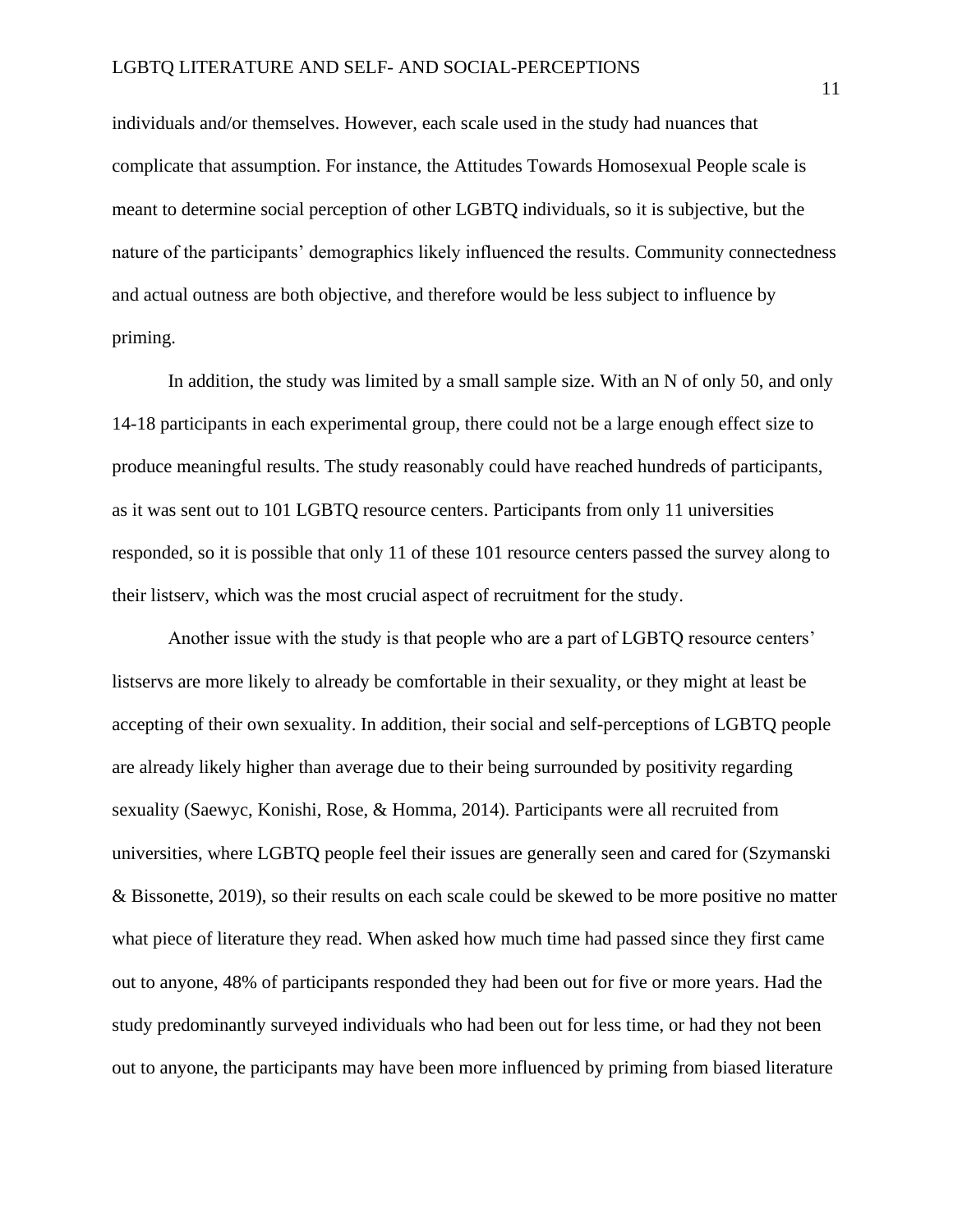individuals and/or themselves. However, each scale used in the study had nuances that complicate that assumption. For instance, the Attitudes Towards Homosexual People scale is meant to determine social perception of other LGBTQ individuals, so it is subjective, but the nature of the participants' demographics likely influenced the results. Community connectedness and actual outness are both objective, and therefore would be less subject to influence by priming.

In addition, the study was limited by a small sample size. With an N of only 50, and only 14-18 participants in each experimental group, there could not be a large enough effect size to produce meaningful results. The study reasonably could have reached hundreds of participants, as it was sent out to 101 LGBTQ resource centers. Participants from only 11 universities responded, so it is possible that only 11 of these 101 resource centers passed the survey along to their listserv, which was the most crucial aspect of recruitment for the study.

Another issue with the study is that people who are a part of LGBTQ resource centers' listservs are more likely to already be comfortable in their sexuality, or they might at least be accepting of their own sexuality. In addition, their social and self-perceptions of LGBTQ people are already likely higher than average due to their being surrounded by positivity regarding sexuality (Saewyc, Konishi, Rose, & Homma, 2014). Participants were all recruited from universities, where LGBTQ people feel their issues are generally seen and cared for (Szymanski & Bissonette, 2019), so their results on each scale could be skewed to be more positive no matter what piece of literature they read. When asked how much time had passed since they first came out to anyone, 48% of participants responded they had been out for five or more years. Had the study predominantly surveyed individuals who had been out for less time, or had they not been out to anyone, the participants may have been more influenced by priming from biased literature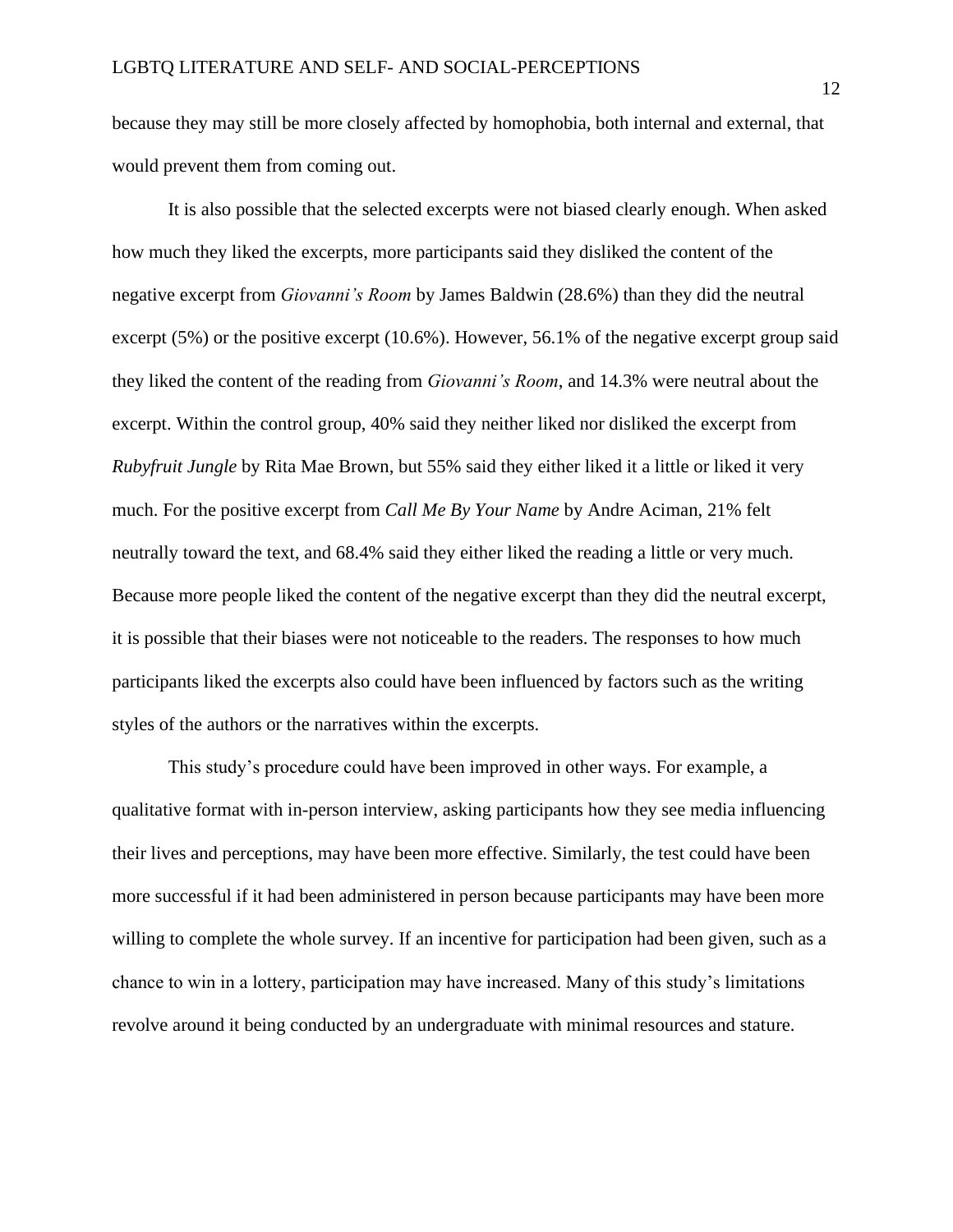because they may still be more closely affected by homophobia, both internal and external, that would prevent them from coming out.

It is also possible that the selected excerpts were not biased clearly enough. When asked how much they liked the excerpts, more participants said they disliked the content of the negative excerpt from *Giovanni's Room* by James Baldwin (28.6%) than they did the neutral excerpt (5%) or the positive excerpt (10.6%). However, 56.1% of the negative excerpt group said they liked the content of the reading from *Giovanni's Room*, and 14.3% were neutral about the excerpt. Within the control group, 40% said they neither liked nor disliked the excerpt from *Rubyfruit Jungle* by Rita Mae Brown, but 55% said they either liked it a little or liked it very much. For the positive excerpt from *Call Me By Your Name* by Andre Aciman, 21% felt neutrally toward the text, and 68.4% said they either liked the reading a little or very much. Because more people liked the content of the negative excerpt than they did the neutral excerpt, it is possible that their biases were not noticeable to the readers. The responses to how much participants liked the excerpts also could have been influenced by factors such as the writing styles of the authors or the narratives within the excerpts.

This study's procedure could have been improved in other ways. For example, a qualitative format with in-person interview, asking participants how they see media influencing their lives and perceptions, may have been more effective. Similarly, the test could have been more successful if it had been administered in person because participants may have been more willing to complete the whole survey. If an incentive for participation had been given, such as a chance to win in a lottery, participation may have increased. Many of this study's limitations revolve around it being conducted by an undergraduate with minimal resources and stature.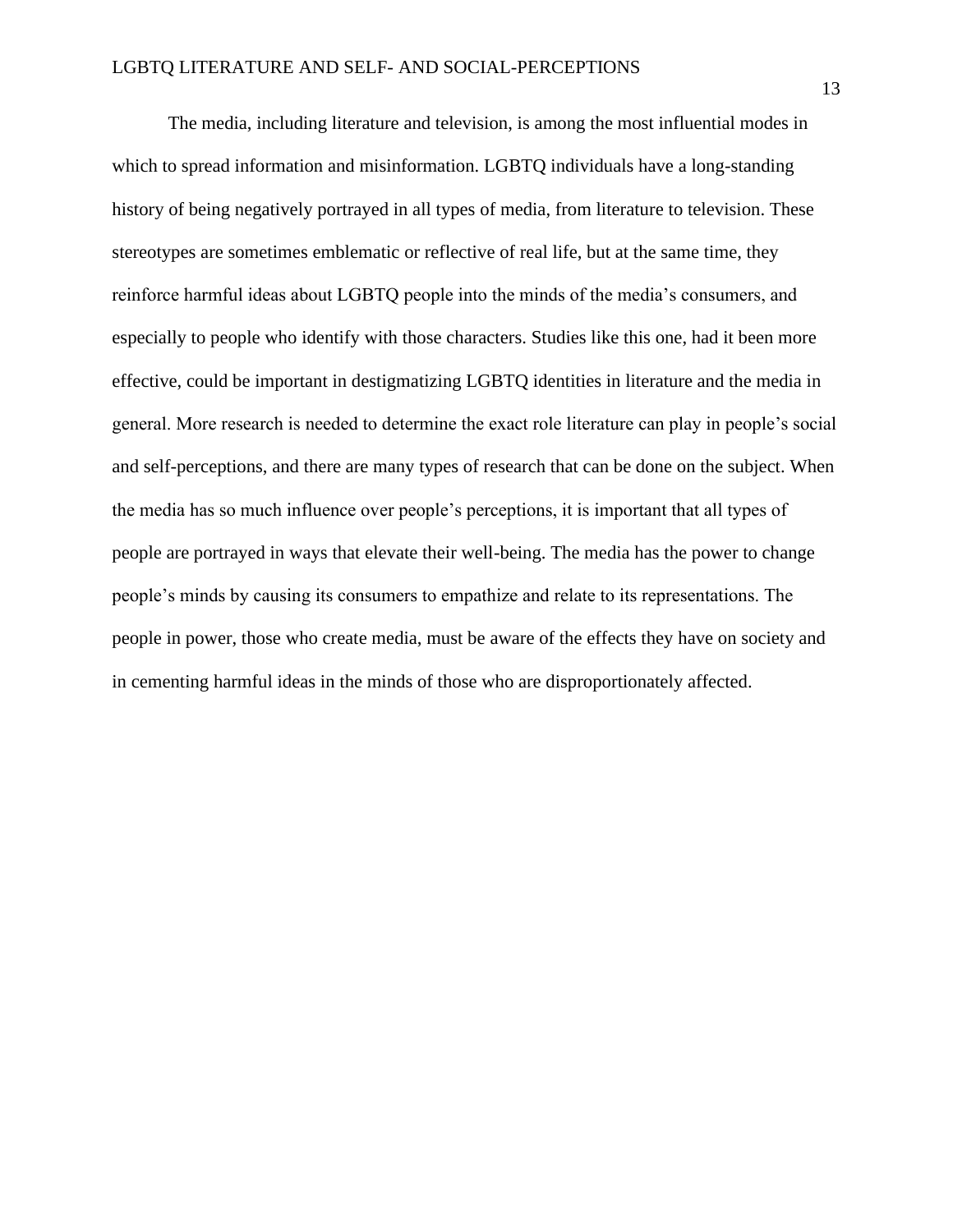The media, including literature and television, is among the most influential modes in which to spread information and misinformation. LGBTQ individuals have a long-standing history of being negatively portrayed in all types of media, from literature to television. These stereotypes are sometimes emblematic or reflective of real life, but at the same time, they reinforce harmful ideas about LGBTQ people into the minds of the media's consumers, and especially to people who identify with those characters. Studies like this one, had it been more effective, could be important in destigmatizing LGBTQ identities in literature and the media in general. More research is needed to determine the exact role literature can play in people's social and self-perceptions, and there are many types of research that can be done on the subject. When the media has so much influence over people's perceptions, it is important that all types of people are portrayed in ways that elevate their well-being. The media has the power to change people's minds by causing its consumers to empathize and relate to its representations. The people in power, those who create media, must be aware of the effects they have on society and in cementing harmful ideas in the minds of those who are disproportionately affected.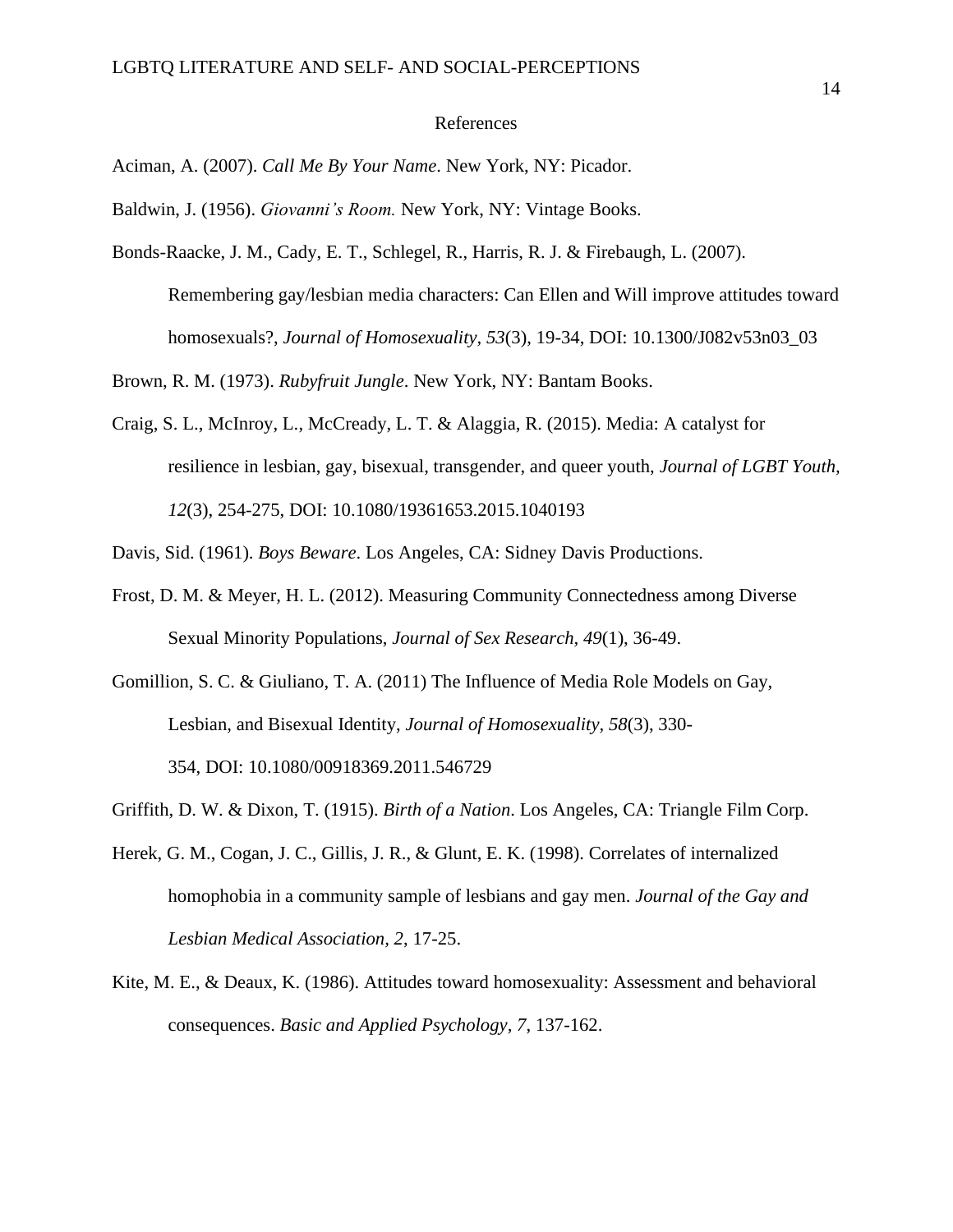#### References

- Aciman, A. (2007). *Call Me By Your Name*. New York, NY: Picador.
- Baldwin, J. (1956). *Giovanni's Room.* New York, NY: Vintage Books.
- Bonds-Raacke, J. M., Cady, E. T., Schlegel, R., Harris, R. J. & Firebaugh, L. (2007). Remembering gay/lesbian media characters: Can Ellen and Will improve attitudes toward homosexuals?, *Journal of Homosexuality, 53*(3), 19-34, DOI: 10.1300/J082v53n03\_03

Brown, R. M. (1973). *Rubyfruit Jungle*. New York, NY: Bantam Books.

- Craig, S. L., McInroy, L., McCready, L. T. & Alaggia, R. (2015). Media: A catalyst for resilience in lesbian, gay, bisexual, transgender, and queer youth, *Journal of LGBT Youth, 12*(3), 254-275, DOI: 10.1080/19361653.2015.1040193
- Davis, Sid. (1961). *Boys Beware*. Los Angeles, CA: Sidney Davis Productions.
- Frost, D. M. & Meyer, H. L. (2012). Measuring Community Connectedness among Diverse Sexual Minority Populations, *Journal of Sex Research, 49*(1), 36-49.
- Gomillion, S. C. & Giuliano, T. A. (2011) The Influence of Media Role Models on Gay, Lesbian, and Bisexual Identity, *Journal of Homosexuality, 58*(3), 330- 354, DOI: [10.1080/00918369.2011.546729](https://doi.org/10.1080/00918369.2011.546729)
- Griffith, D. W. & Dixon, T. (1915). *Birth of a Nation*. Los Angeles, CA: Triangle Film Corp.
- Herek, G. M., Cogan, J. C., Gillis, J. R., & Glunt, E. K. (1998). Correlates of internalized homophobia in a community sample of lesbians and gay men. *Journal of the Gay and Lesbian Medical Association, 2*, 17-25.
- Kite, M. E., & Deaux, K. (1986). Attitudes toward homosexuality: Assessment and behavioral consequences. *Basic and Applied Psychology, 7*, 137-162.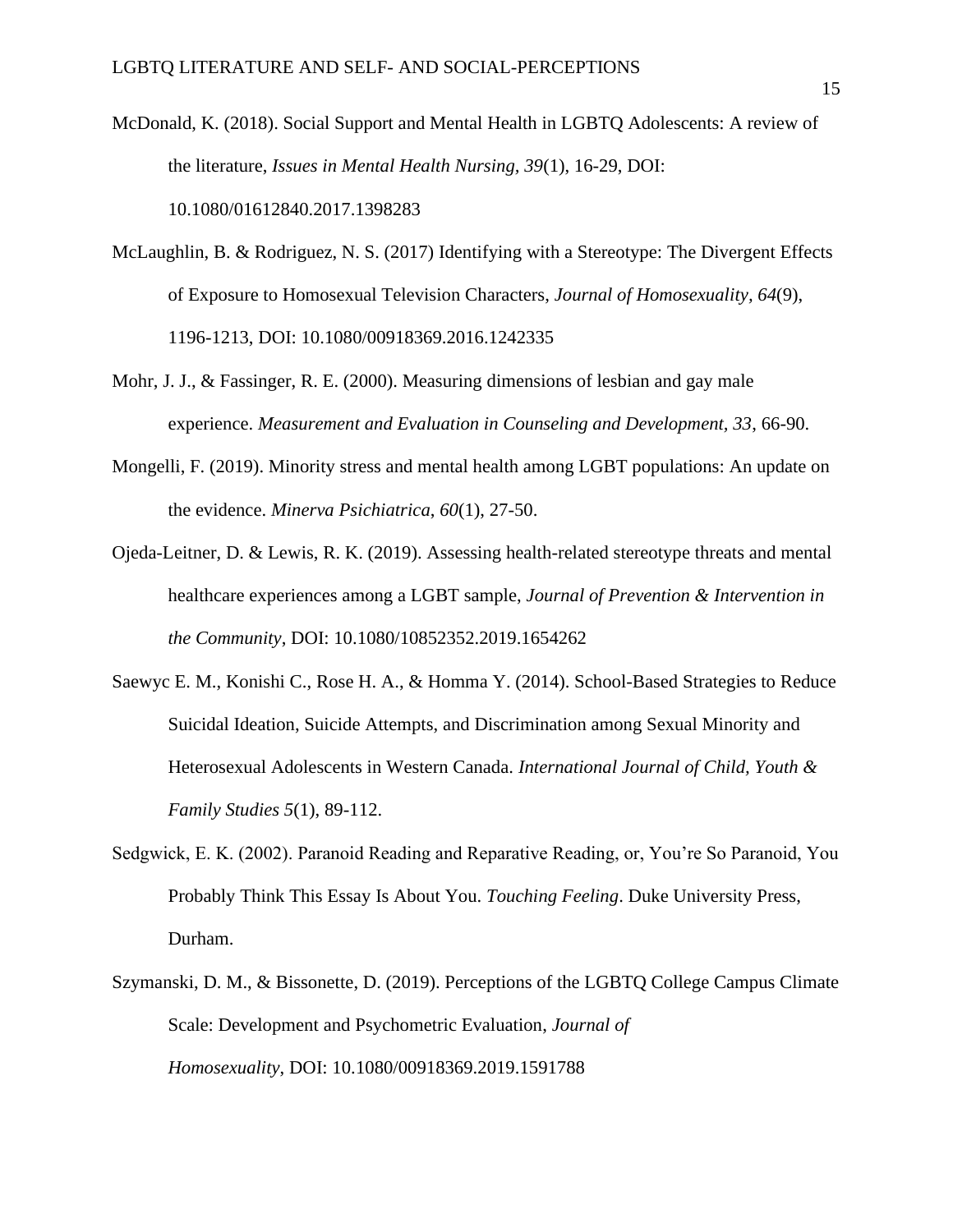- McDonald, K. (2018). Social Support and Mental Health in LGBTQ Adolescents: A review of the literature, *Issues in Mental Health Nursing, 39*(1), 16-29, DOI: 10.1080/01612840.2017.1398283
- McLaughlin, B. & Rodriguez, N. S. (2017) Identifying with a Stereotype: The Divergent Effects of Exposure to Homosexual Television Characters, *Journal of Homosexuality, 64*(9), 1196-1213, DOI: 10.1080/00918369.2016.1242335
- Mohr, J. J., & Fassinger, R. E. (2000). Measuring dimensions of lesbian and gay male experience. *Measurement and Evaluation in Counseling and Development, 33*, 66-90.
- Mongelli, F. (2019). Minority stress and mental health among LGBT populations: An update on the evidence. *Minerva Psichiatrica*, *60*(1), 27-50.
- Ojeda-Leitner, D. & Lewis, R. K. (2019). Assessing health-related stereotype threats and mental healthcare experiences among a LGBT sample, *Journal of Prevention & Intervention in the Community*, DOI: 10.1080/10852352.2019.1654262
- Saewyc E. M., Konishi C., Rose H. A., & Homma Y. (2014). School-Based Strategies to Reduce Suicidal Ideation, Suicide Attempts, and Discrimination among Sexual Minority and Heterosexual Adolescents in Western Canada. *International Journal of Child, Youth & Family Studies 5*(1), 89-112.
- Sedgwick, E. K. (2002). Paranoid Reading and Reparative Reading, or, You're So Paranoid, You Probably Think This Essay Is About You. *Touching Feeling*. Duke University Press, Durham.
- Szymanski, D. M., & Bissonette, D. (2019). Perceptions of the LGBTQ College Campus Climate Scale: Development and Psychometric Evaluation, *Journal of Homosexuality*, DOI: [10.1080/00918369.2019.1591788](https://doi-org.libproxy.unl.edu/10.1080/00918369.2019.1591788)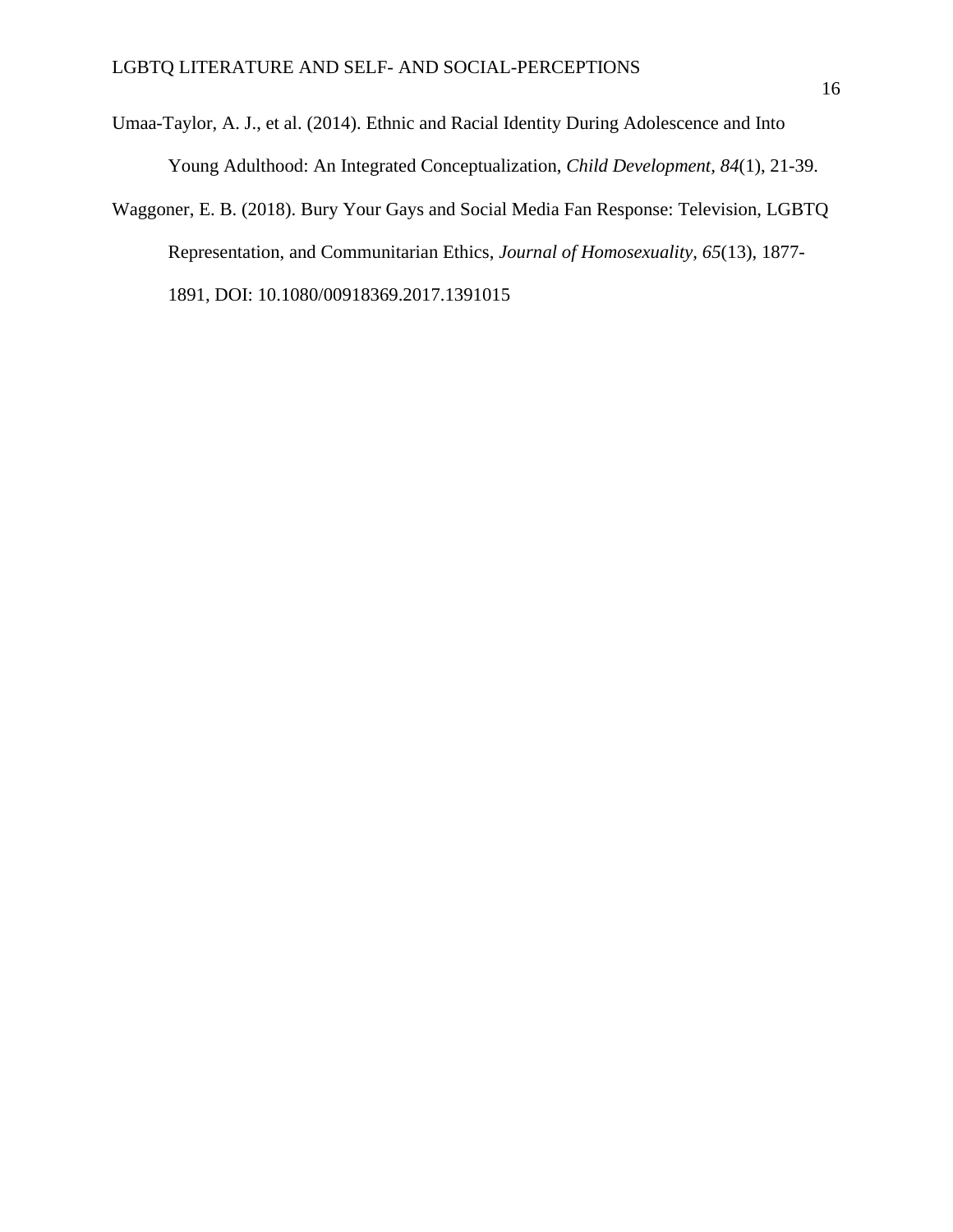Umaa-Taylor, A. J., et al. (2014). Ethnic and Racial Identity During Adolescence and Into Young Adulthood: An Integrated Conceptualization, *Child Development, 84*(1), 21-39.

Waggoner, E. B. (2018). Bury Your Gays and Social Media Fan Response: Television, LGBTQ Representation, and Communitarian Ethics, *Journal of Homosexuality, 65*(13), 1877- 1891, DOI: 10.1080/00918369.2017.1391015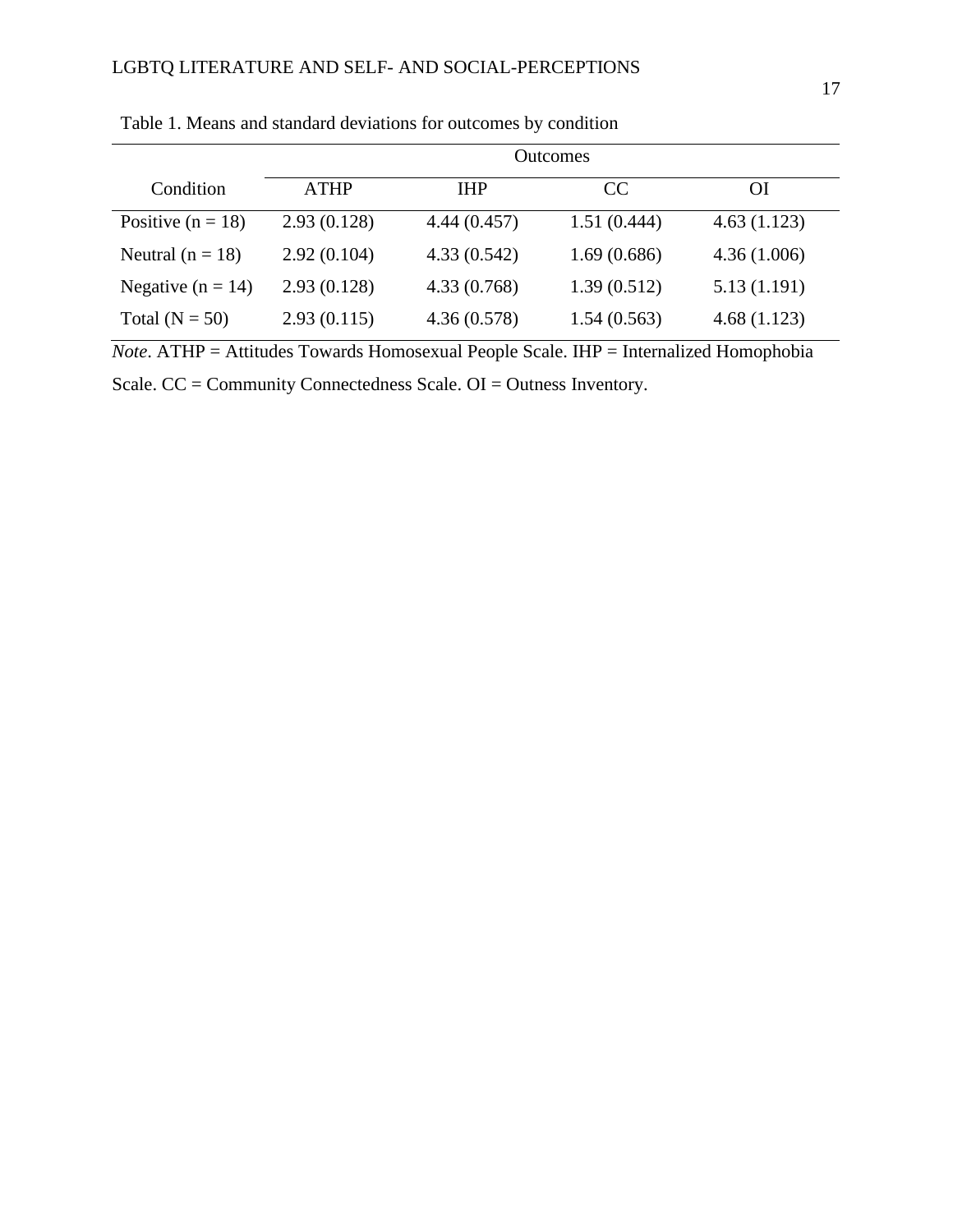|                       | <b>Outcomes</b> |             |             |             |
|-----------------------|-----------------|-------------|-------------|-------------|
| Condition             | <b>ATHP</b>     | <b>IHP</b>  | CC          | ΟI          |
| Positive $(n = 18)$   | 2.93(0.128)     | 4.44(0.457) | 1.51(0.444) | 4.63(1.123) |
| Neutral $(n = 18)$    | 2.92(0.104)     | 4.33(0.542) | 1.69(0.686) | 4.36(1.006) |
| Negative ( $n = 14$ ) | 2.93(0.128)     | 4.33(0.768) | 1.39(0.512) | 5.13(1.191) |
| Total $(N = 50)$      | 2.93(0.115)     | 4.36(0.578) | 1.54(0.563) | 4.68(1.123) |

Table 1. Means and standard deviations for outcomes by condition

*Note*. ATHP = Attitudes Towards Homosexual People Scale. IHP = Internalized Homophobia Scale. CC = Community Connectedness Scale. OI = Outness Inventory.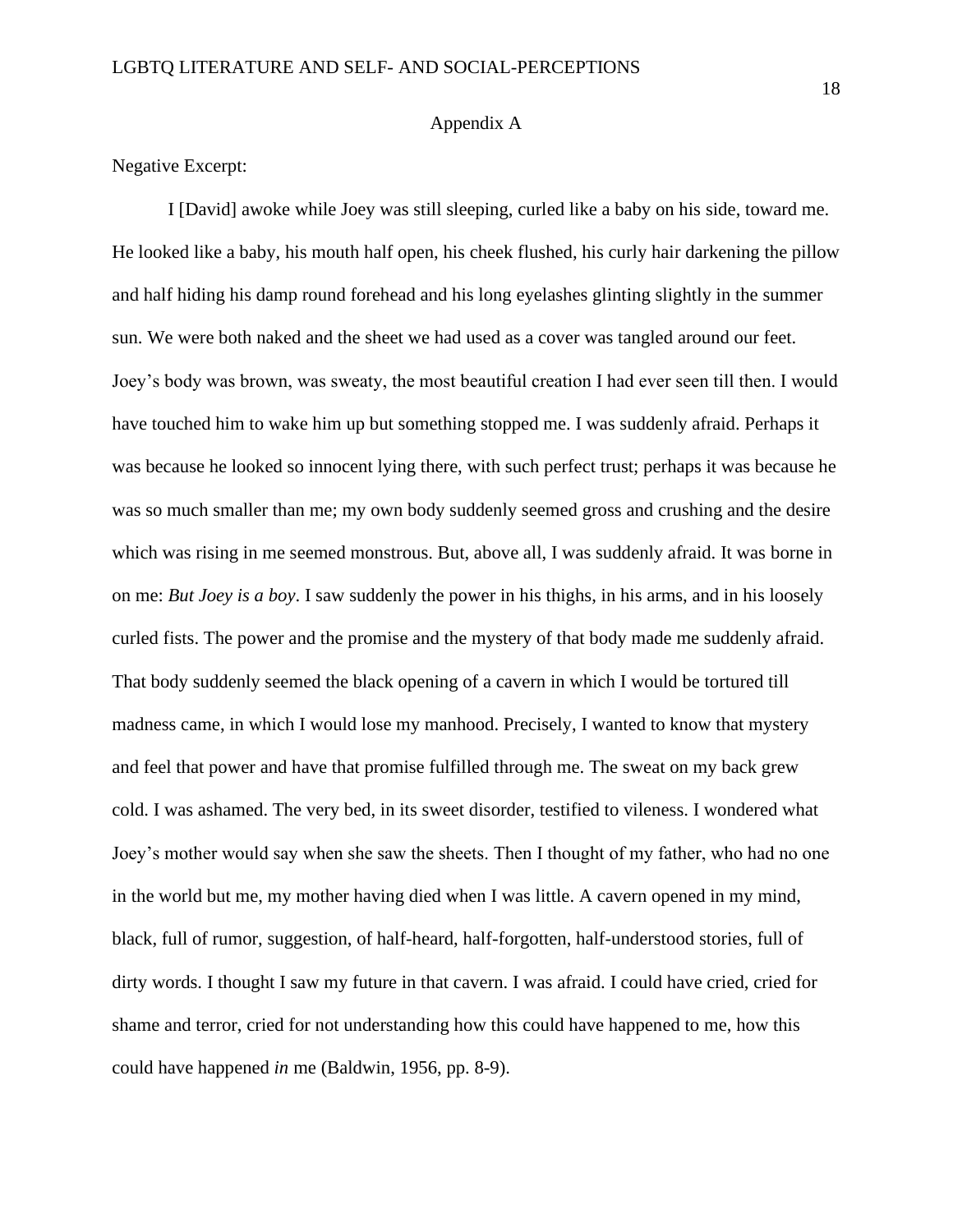#### Appendix A

#### Negative Excerpt:

I [David] awoke while Joey was still sleeping, curled like a baby on his side, toward me. He looked like a baby, his mouth half open, his cheek flushed, his curly hair darkening the pillow and half hiding his damp round forehead and his long eyelashes glinting slightly in the summer sun. We were both naked and the sheet we had used as a cover was tangled around our feet. Joey's body was brown, was sweaty, the most beautiful creation I had ever seen till then. I would have touched him to wake him up but something stopped me. I was suddenly afraid. Perhaps it was because he looked so innocent lying there, with such perfect trust; perhaps it was because he was so much smaller than me; my own body suddenly seemed gross and crushing and the desire which was rising in me seemed monstrous. But, above all, I was suddenly afraid. It was borne in on me: *But Joey is a boy*. I saw suddenly the power in his thighs, in his arms, and in his loosely curled fists. The power and the promise and the mystery of that body made me suddenly afraid. That body suddenly seemed the black opening of a cavern in which I would be tortured till madness came, in which I would lose my manhood. Precisely, I wanted to know that mystery and feel that power and have that promise fulfilled through me. The sweat on my back grew cold. I was ashamed. The very bed, in its sweet disorder, testified to vileness. I wondered what Joey's mother would say when she saw the sheets. Then I thought of my father, who had no one in the world but me, my mother having died when I was little. A cavern opened in my mind, black, full of rumor, suggestion, of half-heard, half-forgotten, half-understood stories, full of dirty words. I thought I saw my future in that cavern. I was afraid. I could have cried, cried for shame and terror, cried for not understanding how this could have happened to me, how this could have happened *in* me (Baldwin, 1956, pp. 8-9).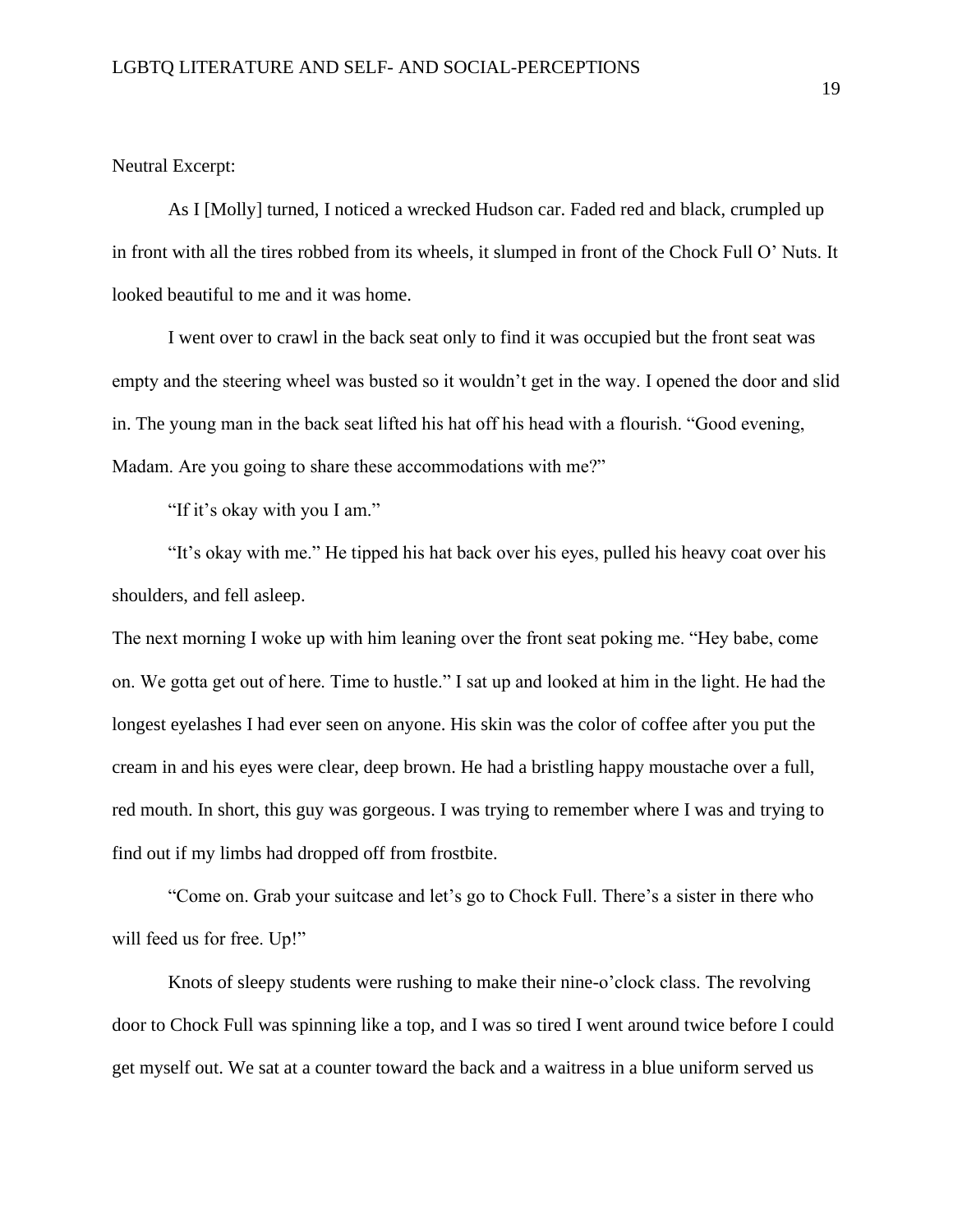Neutral Excerpt:

As I [Molly] turned, I noticed a wrecked Hudson car. Faded red and black, crumpled up in front with all the tires robbed from its wheels, it slumped in front of the Chock Full O' Nuts. It looked beautiful to me and it was home.

I went over to crawl in the back seat only to find it was occupied but the front seat was empty and the steering wheel was busted so it wouldn't get in the way. I opened the door and slid in. The young man in the back seat lifted his hat off his head with a flourish. "Good evening, Madam. Are you going to share these accommodations with me?"

"If it's okay with you I am."

"It's okay with me." He tipped his hat back over his eyes, pulled his heavy coat over his shoulders, and fell asleep.

The next morning I woke up with him leaning over the front seat poking me. "Hey babe, come on. We gotta get out of here. Time to hustle." I sat up and looked at him in the light. He had the longest eyelashes I had ever seen on anyone. His skin was the color of coffee after you put the cream in and his eyes were clear, deep brown. He had a bristling happy moustache over a full, red mouth. In short, this guy was gorgeous. I was trying to remember where I was and trying to find out if my limbs had dropped off from frostbite.

"Come on. Grab your suitcase and let's go to Chock Full. There's a sister in there who will feed us for free. Up!"

Knots of sleepy students were rushing to make their nine-o'clock class. The revolving door to Chock Full was spinning like a top, and I was so tired I went around twice before I could get myself out. We sat at a counter toward the back and a waitress in a blue uniform served us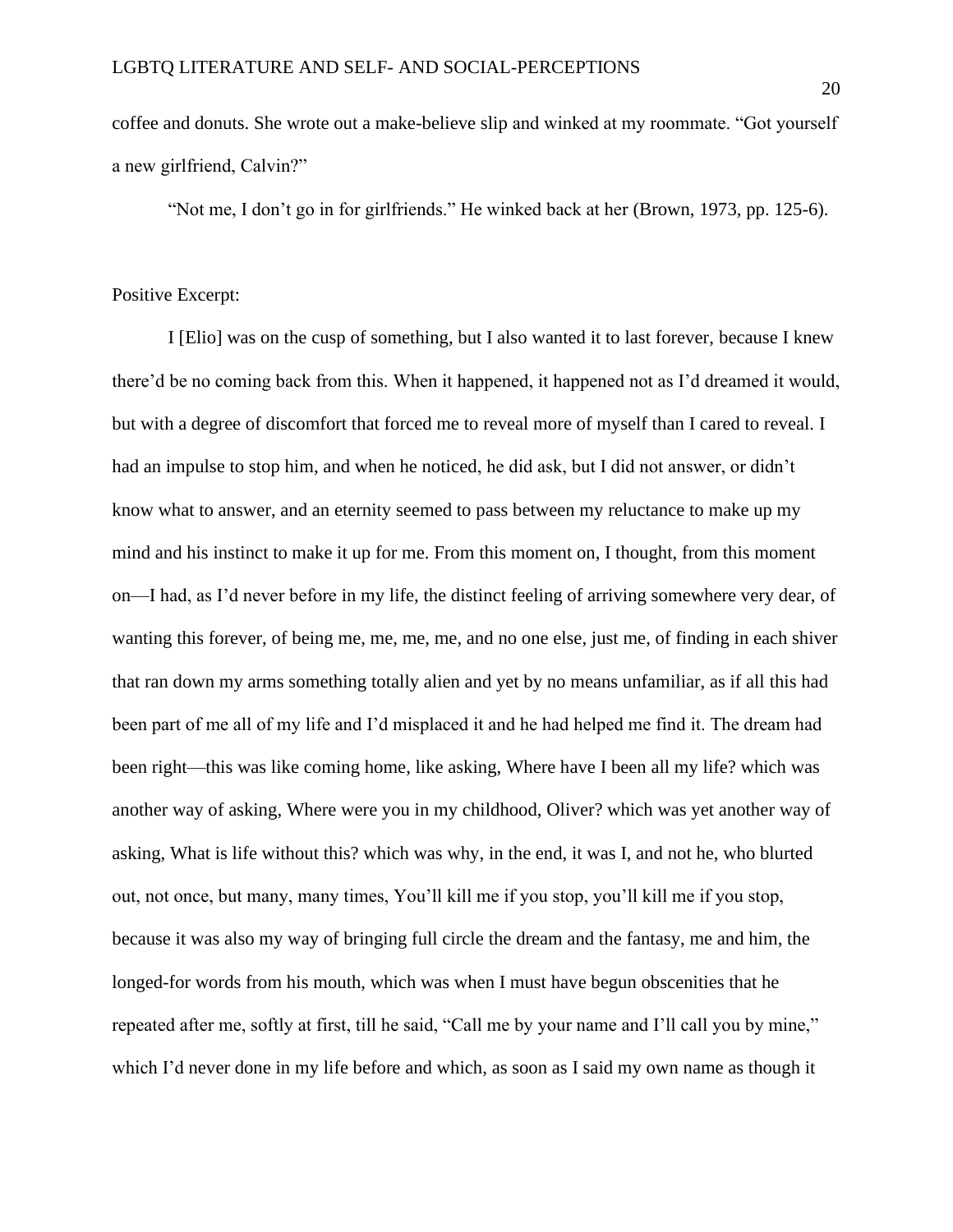coffee and donuts. She wrote out a make-believe slip and winked at my roommate. "Got yourself a new girlfriend, Calvin?"

"Not me, I don't go in for girlfriends." He winked back at her (Brown, 1973, pp. 125-6).

#### Positive Excerpt:

I [Elio] was on the cusp of something, but I also wanted it to last forever, because I knew there'd be no coming back from this. When it happened, it happened not as I'd dreamed it would, but with a degree of discomfort that forced me to reveal more of myself than I cared to reveal. I had an impulse to stop him, and when he noticed, he did ask, but I did not answer, or didn't know what to answer, and an eternity seemed to pass between my reluctance to make up my mind and his instinct to make it up for me. From this moment on, I thought, from this moment on—I had, as I'd never before in my life, the distinct feeling of arriving somewhere very dear, of wanting this forever, of being me, me, me, me, and no one else, just me, of finding in each shiver that ran down my arms something totally alien and yet by no means unfamiliar, as if all this had been part of me all of my life and I'd misplaced it and he had helped me find it. The dream had been right—this was like coming home, like asking, Where have I been all my life? which was another way of asking, Where were you in my childhood, Oliver? which was yet another way of asking, What is life without this? which was why, in the end, it was I, and not he, who blurted out, not once, but many, many times, You'll kill me if you stop, you'll kill me if you stop, because it was also my way of bringing full circle the dream and the fantasy, me and him, the longed-for words from his mouth, which was when I must have begun obscenities that he repeated after me, softly at first, till he said, "Call me by your name and I'll call you by mine," which I'd never done in my life before and which, as soon as I said my own name as though it